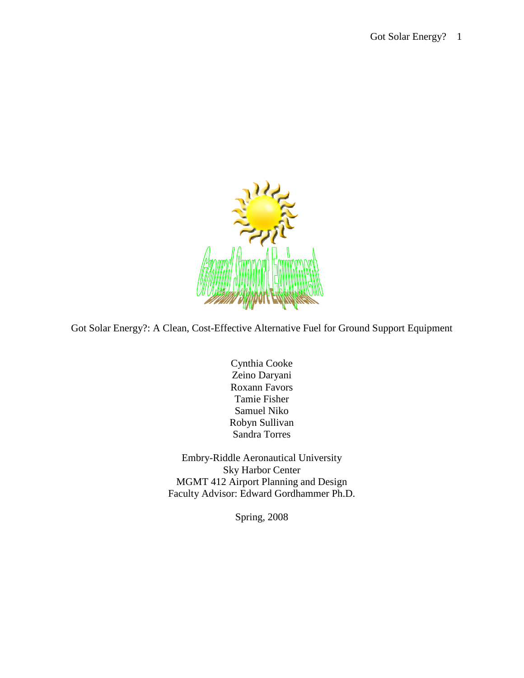

Got Solar Energy?: A Clean, Cost-Effective Alternative Fuel for Ground Support Equipment

Cynthia Cooke Zeino Daryani Roxann Favors Tamie Fisher Samuel Niko Robyn Sullivan Sandra Torres

Embry-Riddle Aeronautical University Sky Harbor Center MGMT 412 Airport Planning and Design Faculty Advisor: Edward Gordhammer Ph.D.

Spring, 2008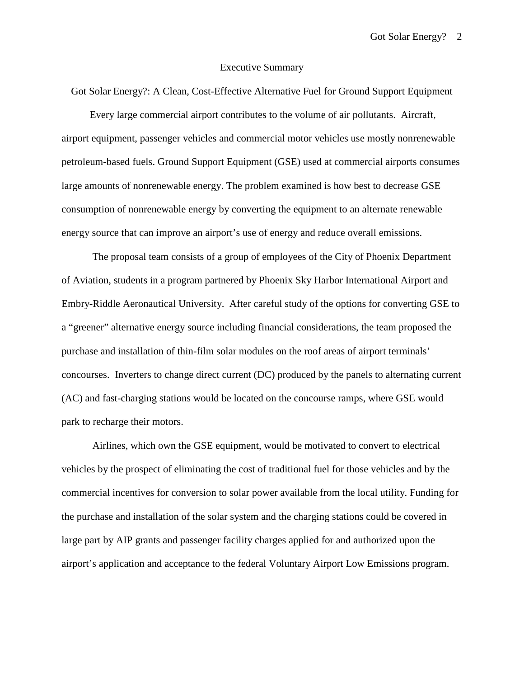### Executive Summary

Got Solar Energy?: A Clean, Cost-Effective Alternative Fuel for Ground Support Equipment

 Every large commercial airport contributes to the volume of air pollutants. Aircraft, airport equipment, passenger vehicles and commercial motor vehicles use mostly nonrenewable petroleum-based fuels. Ground Support Equipment (GSE) used at commercial airports consumes large amounts of nonrenewable energy. The problem examined is how best to decrease GSE consumption of nonrenewable energy by converting the equipment to an alternate renewable energy source that can improve an airport's use of energy and reduce overall emissions.

The proposal team consists of a group of employees of the City of Phoenix Department of Aviation, students in a program partnered by Phoenix Sky Harbor International Airport and Embry-Riddle Aeronautical University. After careful study of the options for converting GSE to a "greener" alternative energy source including financial considerations, the team proposed the purchase and installation of thin-film solar modules on the roof areas of airport terminals' concourses. Inverters to change direct current (DC) produced by the panels to alternating current (AC) and fast-charging stations would be located on the concourse ramps, where GSE would park to recharge their motors.

Airlines, which own the GSE equipment, would be motivated to convert to electrical vehicles by the prospect of eliminating the cost of traditional fuel for those vehicles and by the commercial incentives for conversion to solar power available from the local utility. Funding for the purchase and installation of the solar system and the charging stations could be covered in large part by AIP grants and passenger facility charges applied for and authorized upon the airport's application and acceptance to the federal Voluntary Airport Low Emissions program.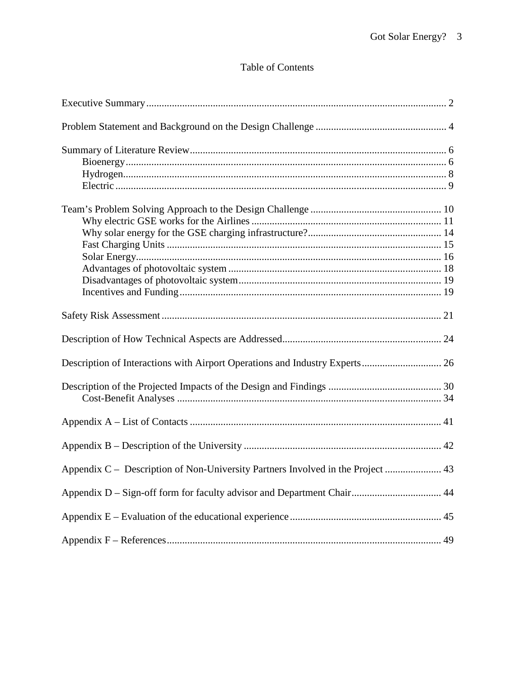# Table of Contents

| Description of Interactions with Airport Operations and Industry Experts 26     |  |
|---------------------------------------------------------------------------------|--|
|                                                                                 |  |
|                                                                                 |  |
|                                                                                 |  |
|                                                                                 |  |
|                                                                                 |  |
| Appendix C – Description of Non-University Partners Involved in the Project  43 |  |
| Appendix D - Sign-off form for faculty advisor and Department Chair 44          |  |
|                                                                                 |  |
|                                                                                 |  |
|                                                                                 |  |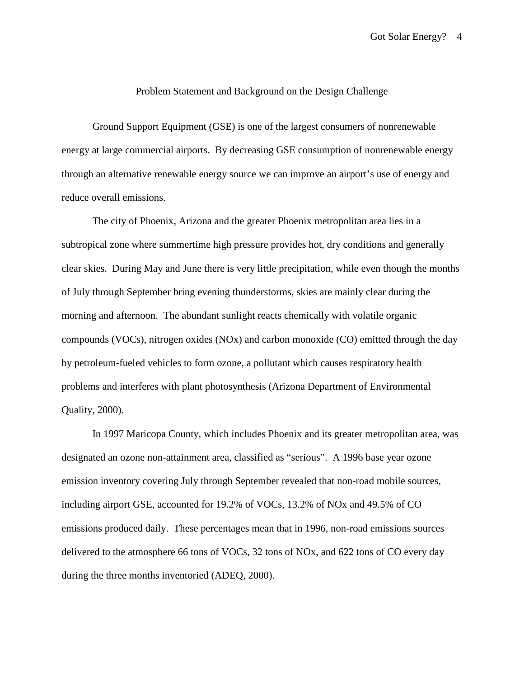## Problem Statement and Background on the Design Challenge

Ground Support Equipment (GSE) is one of the largest consumers of nonrenewable energy at large commercial airports. By decreasing GSE consumption of nonrenewable energy through an alternative renewable energy source we can improve an airport's use of energy and reduce overall emissions.

The city of Phoenix, Arizona and the greater Phoenix metropolitan area lies in a subtropical zone where summertime high pressure provides hot, dry conditions and generally clear skies. During May and June there is very little precipitation, while even though the months of July through September bring evening thunderstorms, skies are mainly clear during the morning and afternoon. The abundant sunlight reacts chemically with volatile organic compounds (VOCs), nitrogen oxides (NOx) and carbon monoxide (CO) emitted through the day by petroleum-fueled vehicles to form ozone, a pollutant which causes respiratory health problems and interferes with plant photosynthesis (Arizona Department of Environmental Quality, 2000).

In 1997 Maricopa County, which includes Phoenix and its greater metropolitan area, was designated an ozone non-attainment area, classified as "serious". A 1996 base year ozone emission inventory covering July through September revealed that non-road mobile sources, including airport GSE, accounted for 19.2% of VOCs, 13.2% of NOx and 49.5% of CO emissions produced daily. These percentages mean that in 1996, non-road emissions sources delivered to the atmosphere 66 tons of VOCs, 32 tons of NOx, and 622 tons of CO every day during the three months inventoried (ADEQ, 2000).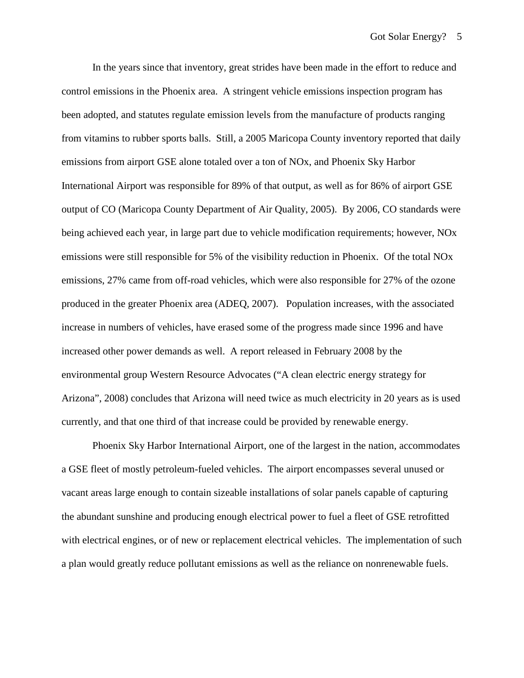In the years since that inventory, great strides have been made in the effort to reduce and control emissions in the Phoenix area. A stringent vehicle emissions inspection program has been adopted, and statutes regulate emission levels from the manufacture of products ranging from vitamins to rubber sports balls. Still, a 2005 Maricopa County inventory reported that daily emissions from airport GSE alone totaled over a ton of NOx, and Phoenix Sky Harbor International Airport was responsible for 89% of that output, as well as for 86% of airport GSE output of CO (Maricopa County Department of Air Quality, 2005). By 2006, CO standards were being achieved each year, in large part due to vehicle modification requirements; however, NOx emissions were still responsible for 5% of the visibility reduction in Phoenix. Of the total NOx emissions, 27% came from off-road vehicles, which were also responsible for 27% of the ozone produced in the greater Phoenix area (ADEQ, 2007). Population increases, with the associated increase in numbers of vehicles, have erased some of the progress made since 1996 and have increased other power demands as well. A report released in February 2008 by the environmental group Western Resource Advocates ("A clean electric energy strategy for Arizona", 2008) concludes that Arizona will need twice as much electricity in 20 years as is used currently, and that one third of that increase could be provided by renewable energy.

Phoenix Sky Harbor International Airport, one of the largest in the nation, accommodates a GSE fleet of mostly petroleum-fueled vehicles. The airport encompasses several unused or vacant areas large enough to contain sizeable installations of solar panels capable of capturing the abundant sunshine and producing enough electrical power to fuel a fleet of GSE retrofitted with electrical engines, or of new or replacement electrical vehicles. The implementation of such a plan would greatly reduce pollutant emissions as well as the reliance on nonrenewable fuels.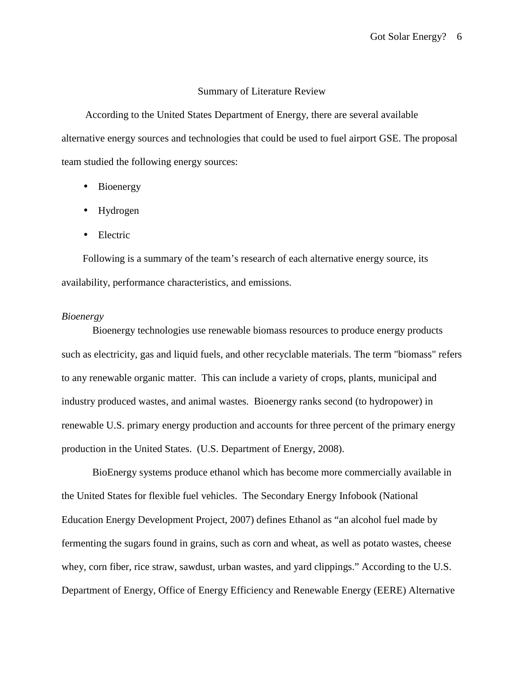#### Summary of Literature Review

 According to the United States Department of Energy, there are several available alternative energy sources and technologies that could be used to fuel airport GSE. The proposal team studied the following energy sources:

- Bioenergy
- Hydrogen
- Electric

Following is a summary of the team's research of each alternative energy source, its availability, performance characteristics, and emissions.

## *Bioenergy*

Bioenergy technologies use renewable biomass resources to produce energy products such as electricity, gas and liquid fuels, and other recyclable materials. The term "biomass" refers to any renewable organic matter. This can include a variety of crops, plants, municipal and industry produced wastes, and animal wastes. Bioenergy ranks second (to hydropower) in renewable U.S. primary energy production and accounts for three percent of the primary energy production in the United States. (U.S. Department of Energy, 2008).

BioEnergy systems produce ethanol which has become more commercially available in the United States for flexible fuel vehicles. The Secondary Energy Infobook (National Education Energy Development Project, 2007) defines Ethanol as "an alcohol fuel made by fermenting the sugars found in grains, such as corn and wheat, as well as potato wastes, cheese whey, corn fiber, rice straw, sawdust, urban wastes, and yard clippings." According to the U.S. Department of Energy, Office of Energy Efficiency and Renewable Energy (EERE) Alternative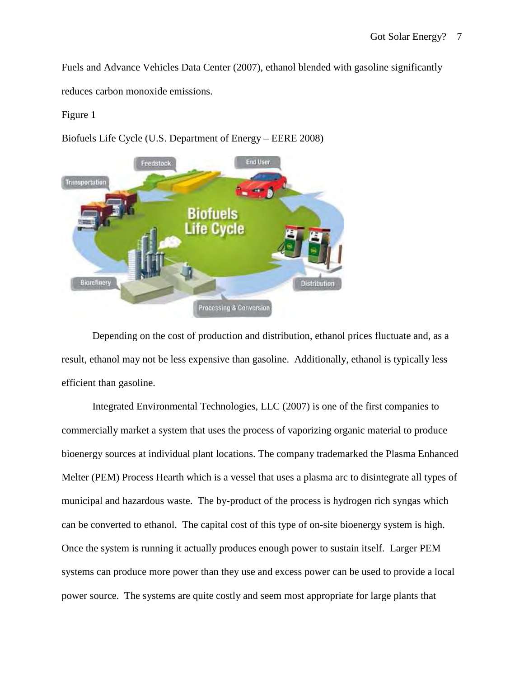Fuels and Advance Vehicles Data Center (2007), ethanol blended with gasoline significantly reduces carbon monoxide emissions.

# Figure 1

Biofuels Life Cycle (U.S. Department of Energy – EERE 2008)



Depending on the cost of production and distribution, ethanol prices fluctuate and, as a result, ethanol may not be less expensive than gasoline. Additionally, ethanol is typically less efficient than gasoline.

Integrated Environmental Technologies, LLC (2007) is one of the first companies to commercially market a system that uses the process of vaporizing organic material to produce bioenergy sources at individual plant locations. The company trademarked the Plasma Enhanced Melter (PEM) Process Hearth which is a vessel that uses a plasma arc to disintegrate all types of municipal and hazardous waste. The by-product of the process is hydrogen rich syngas which can be converted to ethanol. The capital cost of this type of on-site bioenergy system is high. Once the system is running it actually produces enough power to sustain itself. Larger PEM systems can produce more power than they use and excess power can be used to provide a local power source. The systems are quite costly and seem most appropriate for large plants that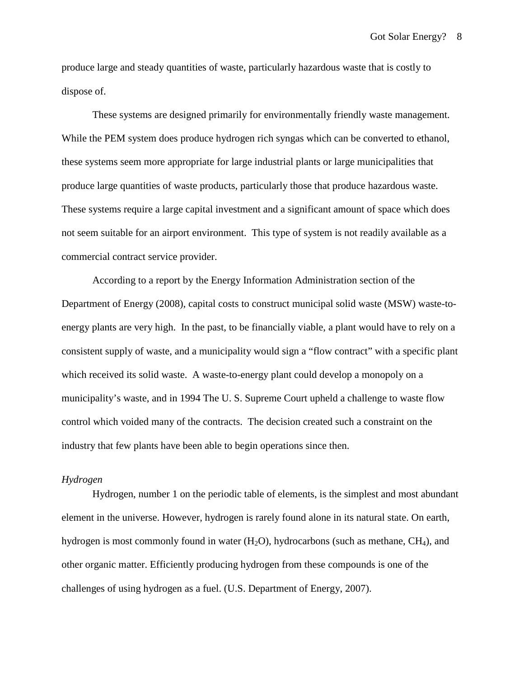produce large and steady quantities of waste, particularly hazardous waste that is costly to dispose of.

These systems are designed primarily for environmentally friendly waste management. While the PEM system does produce hydrogen rich syngas which can be converted to ethanol, these systems seem more appropriate for large industrial plants or large municipalities that produce large quantities of waste products, particularly those that produce hazardous waste. These systems require a large capital investment and a significant amount of space which does not seem suitable for an airport environment. This type of system is not readily available as a commercial contract service provider.

According to a report by the Energy Information Administration section of the Department of Energy (2008), capital costs to construct municipal solid waste (MSW) waste-toenergy plants are very high. In the past, to be financially viable, a plant would have to rely on a consistent supply of waste, and a municipality would sign a "flow contract" with a specific plant which received its solid waste. A waste-to-energy plant could develop a monopoly on a municipality's waste, and in 1994 The U. S. Supreme Court upheld a challenge to waste flow control which voided many of the contracts. The decision created such a constraint on the industry that few plants have been able to begin operations since then.

## *Hydrogen*

Hydrogen, number 1 on the periodic table of elements, is the simplest and most abundant element in the universe. However, hydrogen is rarely found alone in its natural state. On earth, hydrogen is most commonly found in water  $(H_2O)$ , hydrocarbons (such as methane,  $CH_4$ ), and other organic matter. Efficiently producing hydrogen from these compounds is one of the challenges of using hydrogen as a fuel. (U.S. Department of Energy, 2007).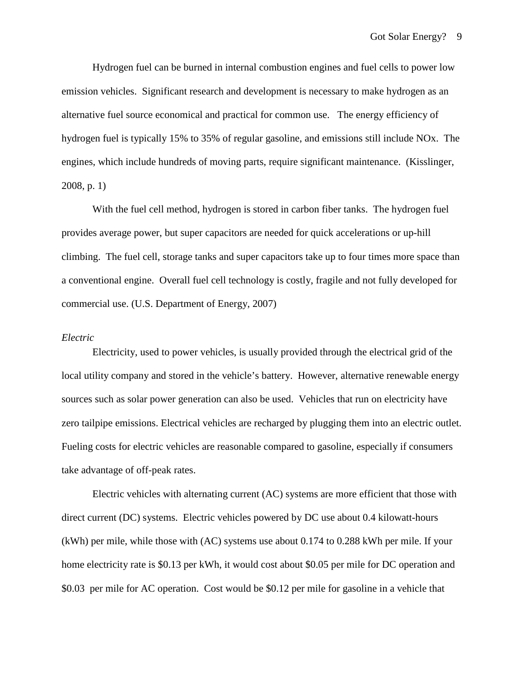Hydrogen fuel can be burned in internal combustion engines and fuel cells to power low emission vehicles. Significant research and development is necessary to make hydrogen as an alternative fuel source economical and practical for common use. The energy efficiency of hydrogen fuel is typically 15% to 35% of regular gasoline, and emissions still include NOx. The engines, which include hundreds of moving parts, require significant maintenance. (Kisslinger, 2008, p. 1)

With the fuel cell method, hydrogen is stored in carbon fiber tanks. The hydrogen fuel provides average power, but super capacitors are needed for quick accelerations or up-hill climbing. The fuel cell, storage tanks and super capacitors take up to four times more space than a conventional engine. Overall fuel cell technology is costly, fragile and not fully developed for commercial use. (U.S. Department of Energy, 2007)

#### *Electric*

Electricity, used to power vehicles, is usually provided through the electrical grid of the local utility company and stored in the vehicle's battery. However, alternative renewable energy sources such as solar power generation can also be used. Vehicles that run on electricity have zero tailpipe emissions. Electrical vehicles are recharged by plugging them into an electric outlet. Fueling costs for electric vehicles are reasonable compared to gasoline, especially if consumers take advantage of off-peak rates.

Electric vehicles with alternating current (AC) systems are more efficient that those with direct current (DC) systems. Electric vehicles powered by DC use about 0.4 kilowatt-hours (kWh) per mile, while those with (AC) systems use about 0.174 to 0.288 kWh per mile. If your home electricity rate is \$0.13 per kWh, it would cost about \$0.05 per mile for DC operation and \$0.03 per mile for AC operation. Cost would be \$0.12 per mile for gasoline in a vehicle that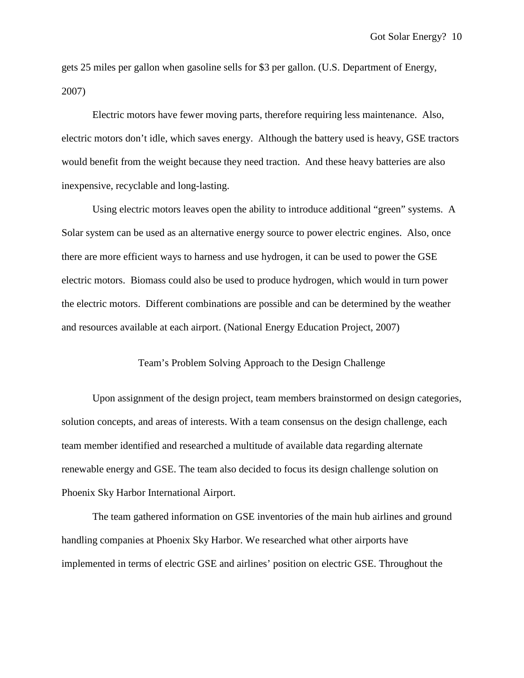gets 25 miles per gallon when gasoline sells for \$3 per gallon. (U.S. Department of Energy, 2007)

Electric motors have fewer moving parts, therefore requiring less maintenance. Also, electric motors don't idle, which saves energy. Although the battery used is heavy, GSE tractors would benefit from the weight because they need traction. And these heavy batteries are also inexpensive, recyclable and long-lasting.

Using electric motors leaves open the ability to introduce additional "green" systems. A Solar system can be used as an alternative energy source to power electric engines. Also, once there are more efficient ways to harness and use hydrogen, it can be used to power the GSE electric motors. Biomass could also be used to produce hydrogen, which would in turn power the electric motors. Different combinations are possible and can be determined by the weather and resources available at each airport. (National Energy Education Project, 2007)

## Team's Problem Solving Approach to the Design Challenge

Upon assignment of the design project, team members brainstormed on design categories, solution concepts, and areas of interests. With a team consensus on the design challenge, each team member identified and researched a multitude of available data regarding alternate renewable energy and GSE. The team also decided to focus its design challenge solution on Phoenix Sky Harbor International Airport.

The team gathered information on GSE inventories of the main hub airlines and ground handling companies at Phoenix Sky Harbor. We researched what other airports have implemented in terms of electric GSE and airlines' position on electric GSE. Throughout the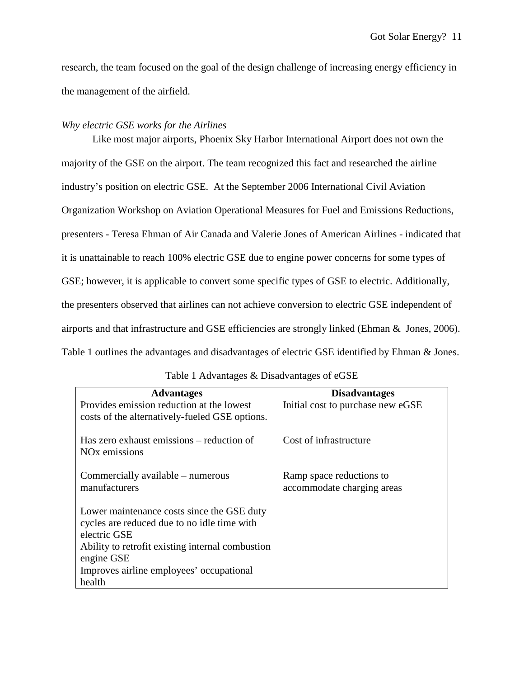research, the team focused on the goal of the design challenge of increasing energy efficiency in the management of the airfield.

## *Why electric GSE works for the Airlines*

Like most major airports, Phoenix Sky Harbor International Airport does not own the majority of the GSE on the airport. The team recognized this fact and researched the airline industry's position on electric GSE. At the September 2006 International Civil Aviation Organization Workshop on Aviation Operational Measures for Fuel and Emissions Reductions, presenters - Teresa Ehman of Air Canada and Valerie Jones of American Airlines - indicated that it is unattainable to reach 100% electric GSE due to engine power concerns for some types of GSE; however, it is applicable to convert some specific types of GSE to electric. Additionally, the presenters observed that airlines can not achieve conversion to electric GSE independent of airports and that infrastructure and GSE efficiencies are strongly linked (Ehman & Jones, 2006). Table 1 outlines the advantages and disadvantages of electric GSE identified by Ehman & Jones.

| <b>Advantages</b><br>Provides emission reduction at the lowest<br>costs of the alternatively-fueled GSE options.                                                                                                                  | <b>Disadvantages</b><br>Initial cost to purchase new eGSE |
|-----------------------------------------------------------------------------------------------------------------------------------------------------------------------------------------------------------------------------------|-----------------------------------------------------------|
| Has zero exhaust emissions – reduction of<br>NO <sub>x</sub> emissions                                                                                                                                                            | Cost of infrastructure                                    |
| Commercially available – numerous<br>manufacturers                                                                                                                                                                                | Ramp space reductions to<br>accommodate charging areas    |
| Lower maintenance costs since the GSE duty<br>cycles are reduced due to no idle time with<br>electric GSE<br>Ability to retrofit existing internal combustion<br>engine GSE<br>Improves airline employees' occupational<br>health |                                                           |

Table 1 Advantages & Disadvantages of eGSE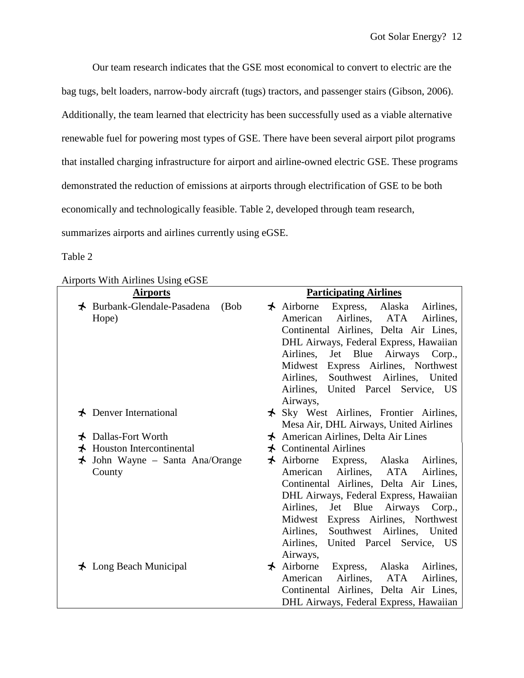Our team research indicates that the GSE most economical to convert to electric are the bag tugs, belt loaders, narrow-body aircraft (tugs) tractors, and passenger stairs (Gibson, 2006). Additionally, the team learned that electricity has been successfully used as a viable alternative renewable fuel for powering most types of GSE. There have been several airport pilot programs that installed charging infrastructure for airport and airline-owned electric GSE. These programs demonstrated the reduction of emissions at airports through electrification of GSE to be both economically and technologically feasible. Table 2, developed through team research, summarizes airports and airlines currently using eGSE.

## Table 2

| Airports With Airlines Using eGSE |  |
|-----------------------------------|--|
|                                   |  |

| AIFPORTS WITH AIFIINES USING CUSE             |                                                  |
|-----------------------------------------------|--------------------------------------------------|
| <b>Airports</b>                               | <b>Participating Airlines</b>                    |
| $\bigstar$ Burbank-Glendale-Pasadena<br>(Bob) | $\star$ Airborne<br>Express, Alaska Airlines,    |
| Hope)                                         | American Airlines, ATA<br>Airlines,              |
|                                               | Continental Airlines, Delta Air Lines,           |
|                                               | DHL Airways, Federal Express, Hawaiian           |
|                                               | Airlines,<br>Jet Blue Airways Corp.,             |
|                                               | Midwest Express Airlines, Northwest              |
|                                               | Airlines, Southwest Airlines, United             |
|                                               | Airlines, United Parcel Service, US              |
|                                               | Airways,                                         |
| $\bigstar$ Denver International               | $\star$ Sky West Airlines, Frontier Airlines,    |
|                                               | Mesa Air, DHL Airways, United Airlines           |
| Dallas-Fort Worth                             | $\star$ American Airlines, Delta Air Lines       |
| $\bigstar$ Houston Intercontinental           | $\bigstar$ Continental Airlines                  |
| John Wayne – Santa Ana/Orange<br>$\star$      | $\star$ Airborne Express, Alaska Airlines,       |
| County                                        | American Airlines, ATA<br>Airlines,              |
|                                               | Continental Airlines, Delta Air Lines,           |
|                                               | DHL Airways, Federal Express, Hawaiian           |
|                                               | Airlines, Jet Blue Airways Corp.,                |
|                                               | Midwest Express Airlines, Northwest              |
|                                               | Southwest Airlines, United<br>Airlines,          |
|                                               | United Parcel Service, US<br>Airlines,           |
|                                               | Airways,                                         |
| $\bigstar$ Long Beach Municipal               | $\star$ Airborne<br>Express, Alaska<br>Airlines, |
|                                               | Airlines, ATA<br>American<br>Airlines,           |
|                                               | Continental Airlines, Delta Air Lines,           |
|                                               | DHL Airways, Federal Express, Hawaiian           |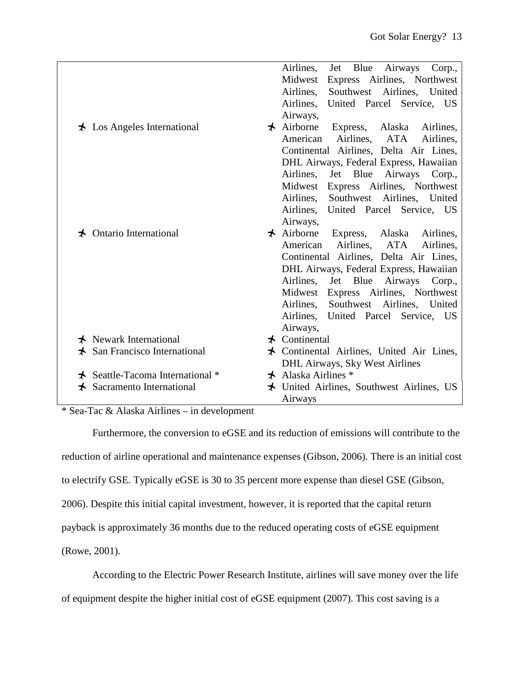|                                           | Jet Blue Airways Corp.,<br>Airlines,            |
|-------------------------------------------|-------------------------------------------------|
|                                           | Express Airlines, Northwest<br>Midwest          |
|                                           | Southwest Airlines, United<br>Airlines,         |
|                                           | Airlines, United Parcel Service, US             |
|                                           | Airways,                                        |
| $\star$ Los Angeles International         | $\star$ Airborne<br>Express, Alaska Airlines,   |
|                                           | American<br>Airlines,<br>ATA<br>Airlines.       |
|                                           | Continental Airlines, Delta Air Lines,          |
|                                           | DHL Airways, Federal Express, Hawaiian          |
|                                           | Jet Blue Airways Corp.,<br>Airlines,            |
|                                           | Express Airlines, Northwest<br>Midwest          |
|                                           | Airlines, Southwest Airlines, United            |
|                                           | Airlines, United Parcel Service, US             |
|                                           | Airways,                                        |
| $\bigstar$ Ontario International          | $\star$ Airborne<br>Express, Alaska Airlines,   |
|                                           | Airlines,<br>ATA<br>American<br>Airlines,       |
|                                           | Continental Airlines, Delta Air Lines,          |
|                                           | DHL Airways, Federal Express, Hawaiian          |
|                                           | Jet Blue Airways Corp.,<br>Airlines,            |
|                                           | Express Airlines, Northwest<br>Midwest          |
|                                           | Airlines, Southwest Airlines, United            |
|                                           | Airlines, United Parcel Service, US             |
|                                           | Airways,                                        |
| $\bigstar$ Newark International           | $\star$ Continental                             |
| $\star$ San Francisco International       | $\star$ Continental Airlines, United Air Lines, |
|                                           | <b>DHL Airways, Sky West Airlines</b>           |
| Seattle-Tacoma International *<br>$\star$ | $\star$ Alaska Airlines *                       |
| Sacramento International<br>⊀             | $\star$ United Airlines, Southwest Airlines, US |
|                                           | Airways                                         |

# \* Sea-Tac & Alaska Airlines – in development

Furthermore, the conversion to eGSE and its reduction of emissions will contribute to the reduction of airline operational and maintenance expenses (Gibson, 2006). There is an initial cost to electrify GSE. Typically eGSE is 30 to 35 percent more expense than diesel GSE (Gibson, 2006). Despite this initial capital investment, however, it is reported that the capital return payback is approximately 36 months due to the reduced operating costs of eGSE equipment (Rowe, 2001).

According to the Electric Power Research Institute, airlines will save money over the life

of equipment despite the higher initial cost of eGSE equipment (2007). This cost saving is a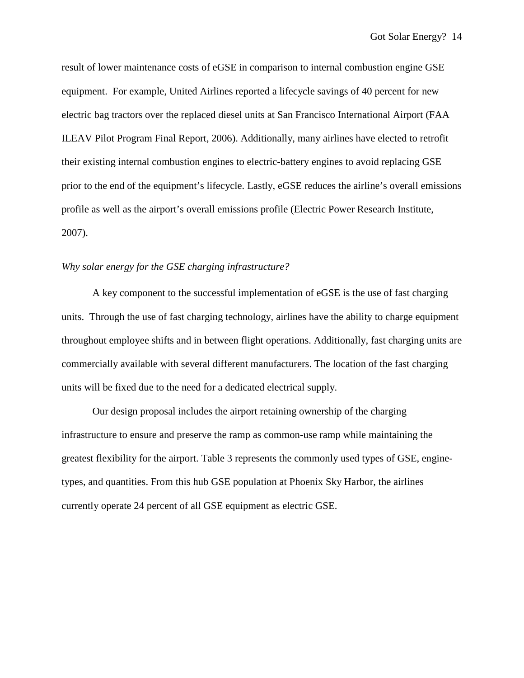result of lower maintenance costs of eGSE in comparison to internal combustion engine GSE equipment. For example, United Airlines reported a lifecycle savings of 40 percent for new electric bag tractors over the replaced diesel units at San Francisco International Airport (FAA ILEAV Pilot Program Final Report, 2006). Additionally, many airlines have elected to retrofit their existing internal combustion engines to electric-battery engines to avoid replacing GSE prior to the end of the equipment's lifecycle. Lastly, eGSE reduces the airline's overall emissions profile as well as the airport's overall emissions profile (Electric Power Research Institute, 2007).

### *Why solar energy for the GSE charging infrastructure?*

A key component to the successful implementation of eGSE is the use of fast charging units. Through the use of fast charging technology, airlines have the ability to charge equipment throughout employee shifts and in between flight operations. Additionally, fast charging units are commercially available with several different manufacturers. The location of the fast charging units will be fixed due to the need for a dedicated electrical supply.

Our design proposal includes the airport retaining ownership of the charging infrastructure to ensure and preserve the ramp as common-use ramp while maintaining the greatest flexibility for the airport. Table 3 represents the commonly used types of GSE, enginetypes, and quantities. From this hub GSE population at Phoenix Sky Harbor, the airlines currently operate 24 percent of all GSE equipment as electric GSE.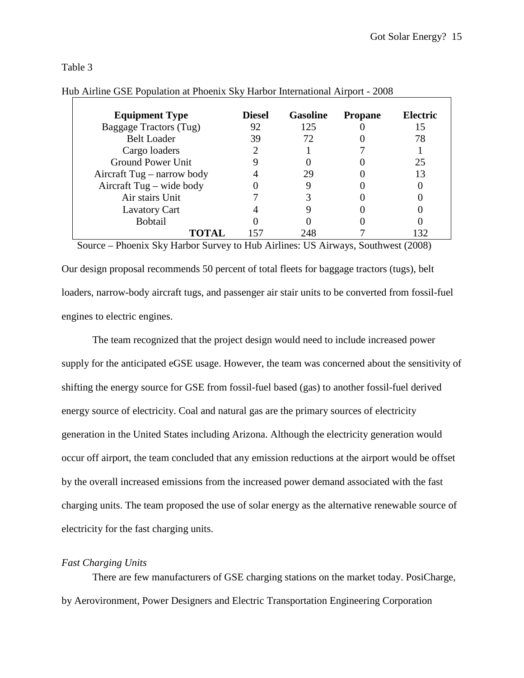## Table 3

| <b>Equipment Type</b>      | <b>Diesel</b> | <b>Gasoline</b> | <b>Propane</b> | Electric |
|----------------------------|---------------|-----------------|----------------|----------|
| Baggage Tractors (Tug)     | 92            | 125             |                |          |
| <b>Belt Loader</b>         | 39            | 72              |                | 78       |
| Cargo loaders              |               |                 |                |          |
| <b>Ground Power Unit</b>   |               |                 |                | 25       |
| Aircraft Tug – narrow body |               | 29              |                |          |
| Aircraft Tug – wide body   |               |                 |                |          |
| Air stairs Unit            |               |                 |                |          |
| <b>Lavatory Cart</b>       |               |                 |                |          |
| <b>Bobtail</b>             |               |                 |                |          |
| ТОТАІ                      |               | 248             |                | 32       |

## Hub Airline GSE Population at Phoenix Sky Harbor International Airport - 2008

Source – Phoenix Sky Harbor Survey to Hub Airlines: US Airways, Southwest (2008)

Our design proposal recommends 50 percent of total fleets for baggage tractors (tugs), belt loaders, narrow-body aircraft tugs, and passenger air stair units to be converted from fossil-fuel engines to electric engines.

The team recognized that the project design would need to include increased power supply for the anticipated eGSE usage. However, the team was concerned about the sensitivity of shifting the energy source for GSE from fossil-fuel based (gas) to another fossil-fuel derived energy source of electricity. Coal and natural gas are the primary sources of electricity generation in the United States including Arizona. Although the electricity generation would occur off airport, the team concluded that any emission reductions at the airport would be offset by the overall increased emissions from the increased power demand associated with the fast charging units. The team proposed the use of solar energy as the alternative renewable source of electricity for the fast charging units.

## *Fast Charging Units*

 There are few manufacturers of GSE charging stations on the market today. PosiCharge, by Aerovironment, Power Designers and Electric Transportation Engineering Corporation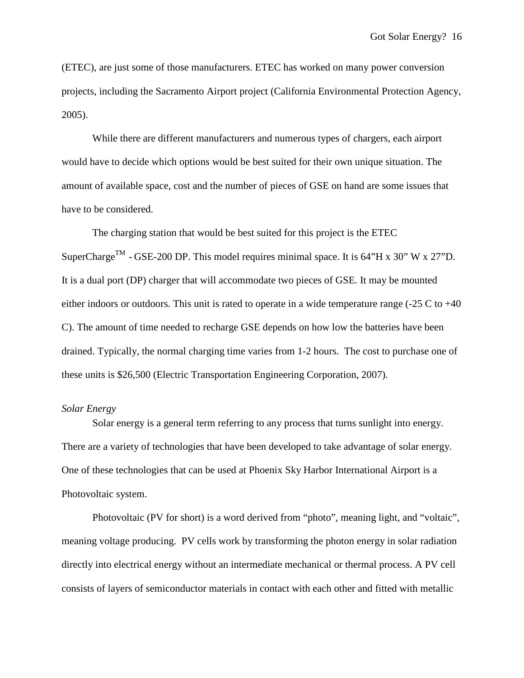(ETEC), are just some of those manufacturers. ETEC has worked on many power conversion projects, including the Sacramento Airport project (California Environmental Protection Agency, 2005).

 While there are different manufacturers and numerous types of chargers, each airport would have to decide which options would be best suited for their own unique situation. The amount of available space, cost and the number of pieces of GSE on hand are some issues that have to be considered.

 The charging station that would be best suited for this project is the ETEC SuperCharge<sup>TM</sup> - GSE-200 DP. This model requires minimal space. It is 64"H x 30" W x 27"D. It is a dual port (DP) charger that will accommodate two pieces of GSE. It may be mounted either indoors or outdoors. This unit is rated to operate in a wide temperature range  $(-25 \text{ C to } +40)$ C). The amount of time needed to recharge GSE depends on how low the batteries have been drained. Typically, the normal charging time varies from 1-2 hours. The cost to purchase one of these units is \$26,500 (Electric Transportation Engineering Corporation, 2007).

### *Solar Energy*

Solar energy is a general term referring to any process that turns sunlight into energy. There are a variety of technologies that have been developed to take advantage of solar energy. One of these technologies that can be used at Phoenix Sky Harbor International Airport is a Photovoltaic system.

Photovoltaic (PV for short) is a word derived from "photo", meaning light, and "voltaic", meaning voltage producing. PV cells work by transforming the photon energy in solar radiation directly into electrical energy without an intermediate mechanical or thermal process. A PV cell consists of layers of semiconductor materials in contact with each other and fitted with metallic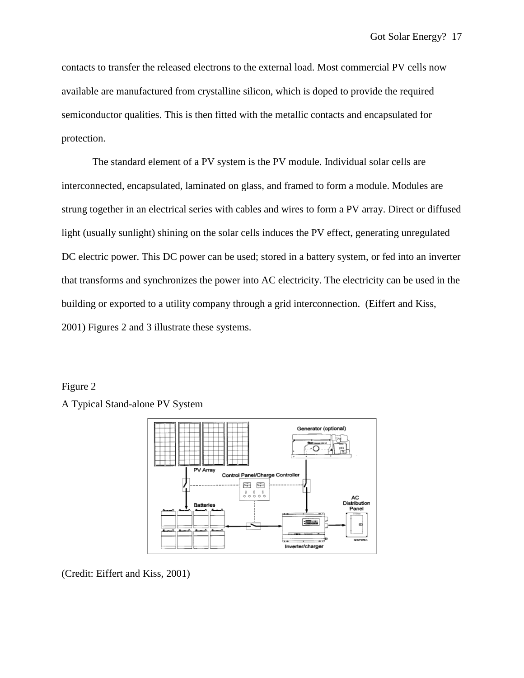contacts to transfer the released electrons to the external load. Most commercial PV cells now available are manufactured from crystalline silicon, which is doped to provide the required semiconductor qualities. This is then fitted with the metallic contacts and encapsulated for protection.

The standard element of a PV system is the PV module. Individual solar cells are interconnected, encapsulated, laminated on glass, and framed to form a module. Modules are strung together in an electrical series with cables and wires to form a PV array. Direct or diffused light (usually sunlight) shining on the solar cells induces the PV effect, generating unregulated DC electric power. This DC power can be used; stored in a battery system, or fed into an inverter that transforms and synchronizes the power into AC electricity. The electricity can be used in the building or exported to a utility company through a grid interconnection. (Eiffert and Kiss, 2001) Figures 2 and 3 illustrate these systems.

# Figure 2

A Typical Stand-alone PV System



(Credit: Eiffert and Kiss, 2001)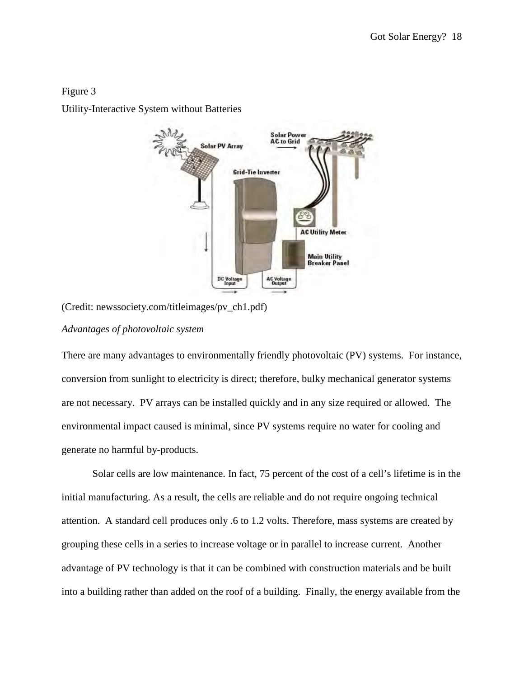# Figure 3

Utility-Interactive System without Batteries



(Credit: newssociety.com/titleimages/pv\_ch1.pdf)

# *Advantages of photovoltaic system*

There are many advantages to environmentally friendly photovoltaic (PV) systems. For instance, conversion from sunlight to electricity is direct; therefore, bulky mechanical generator systems are not necessary. PV arrays can be installed quickly and in any size required or allowed. The environmental impact caused is minimal, since PV systems require no water for cooling and generate no harmful by-products.

Solar cells are low maintenance. In fact, 75 percent of the cost of a cell's lifetime is in the initial manufacturing. As a result, the cells are reliable and do not require ongoing technical attention. A standard cell produces only .6 to 1.2 volts. Therefore, mass systems are created by grouping these cells in a series to increase voltage or in parallel to increase current. Another advantage of PV technology is that it can be combined with construction materials and be built into a building rather than added on the roof of a building. Finally, the energy available from the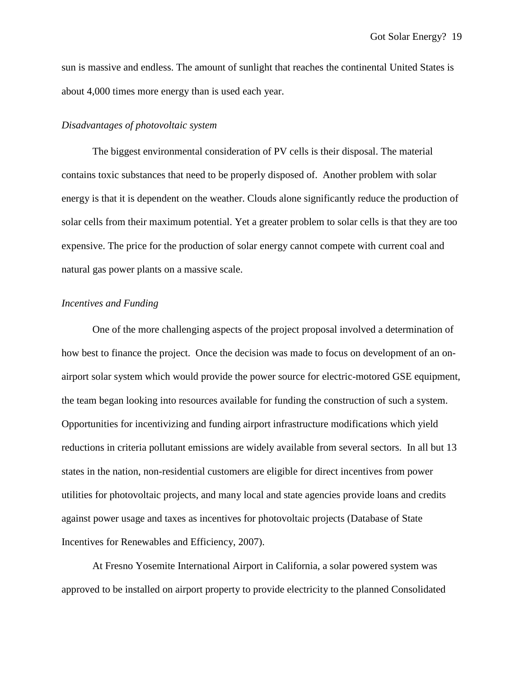sun is massive and endless. The amount of sunlight that reaches the continental United States is about 4,000 times more energy than is used each year.

### *Disadvantages of photovoltaic system*

The biggest environmental consideration of PV cells is their disposal. The material contains toxic substances that need to be properly disposed of. Another problem with solar energy is that it is dependent on the weather. Clouds alone significantly reduce the production of solar cells from their maximum potential. Yet a greater problem to solar cells is that they are too expensive. The price for the production of solar energy cannot compete with current coal and natural gas power plants on a massive scale.

## *Incentives and Funding*

One of the more challenging aspects of the project proposal involved a determination of how best to finance the project. Once the decision was made to focus on development of an onairport solar system which would provide the power source for electric-motored GSE equipment, the team began looking into resources available for funding the construction of such a system. Opportunities for incentivizing and funding airport infrastructure modifications which yield reductions in criteria pollutant emissions are widely available from several sectors. In all but 13 states in the nation, non-residential customers are eligible for direct incentives from power utilities for photovoltaic projects, and many local and state agencies provide loans and credits against power usage and taxes as incentives for photovoltaic projects (Database of State Incentives for Renewables and Efficiency, 2007).

At Fresno Yosemite International Airport in California, a solar powered system was approved to be installed on airport property to provide electricity to the planned Consolidated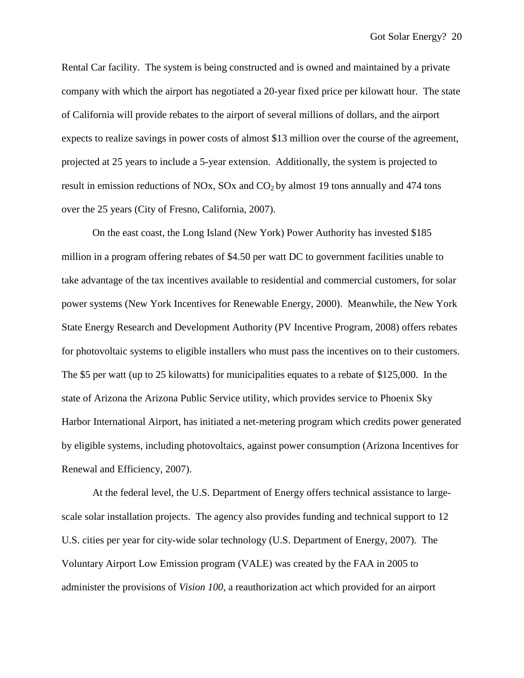Rental Car facility. The system is being constructed and is owned and maintained by a private company with which the airport has negotiated a 20-year fixed price per kilowatt hour. The state of California will provide rebates to the airport of several millions of dollars, and the airport expects to realize savings in power costs of almost \$13 million over the course of the agreement, projected at 25 years to include a 5-year extension. Additionally, the system is projected to result in emission reductions of NOx,  $SOX$  and  $CO<sub>2</sub>$  by almost 19 tons annually and 474 tons over the 25 years (City of Fresno, California, 2007).

On the east coast, the Long Island (New York) Power Authority has invested \$185 million in a program offering rebates of \$4.50 per watt DC to government facilities unable to take advantage of the tax incentives available to residential and commercial customers, for solar power systems (New York Incentives for Renewable Energy, 2000). Meanwhile, the New York State Energy Research and Development Authority (PV Incentive Program, 2008) offers rebates for photovoltaic systems to eligible installers who must pass the incentives on to their customers. The \$5 per watt (up to 25 kilowatts) for municipalities equates to a rebate of \$125,000. In the state of Arizona the Arizona Public Service utility, which provides service to Phoenix Sky Harbor International Airport, has initiated a net-metering program which credits power generated by eligible systems, including photovoltaics, against power consumption (Arizona Incentives for Renewal and Efficiency, 2007).

At the federal level, the U.S. Department of Energy offers technical assistance to largescale solar installation projects. The agency also provides funding and technical support to 12 U.S. cities per year for city-wide solar technology (U.S. Department of Energy, 2007). The Voluntary Airport Low Emission program (VALE) was created by the FAA in 2005 to administer the provisions of *Vision 100*, a reauthorization act which provided for an airport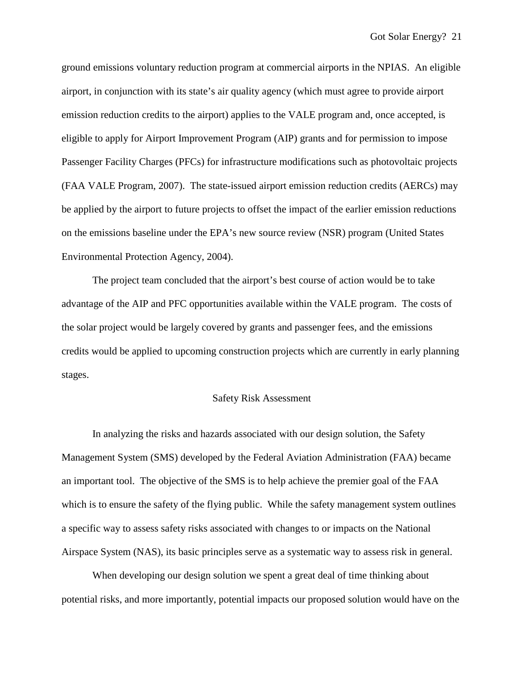ground emissions voluntary reduction program at commercial airports in the NPIAS. An eligible airport, in conjunction with its state's air quality agency (which must agree to provide airport emission reduction credits to the airport) applies to the VALE program and, once accepted, is eligible to apply for Airport Improvement Program (AIP) grants and for permission to impose Passenger Facility Charges (PFCs) for infrastructure modifications such as photovoltaic projects (FAA VALE Program, 2007). The state-issued airport emission reduction credits (AERCs) may be applied by the airport to future projects to offset the impact of the earlier emission reductions on the emissions baseline under the EPA's new source review (NSR) program (United States Environmental Protection Agency, 2004).

The project team concluded that the airport's best course of action would be to take advantage of the AIP and PFC opportunities available within the VALE program. The costs of the solar project would be largely covered by grants and passenger fees, and the emissions credits would be applied to upcoming construction projects which are currently in early planning stages.

### Safety Risk Assessment

In analyzing the risks and hazards associated with our design solution, the Safety Management System (SMS) developed by the Federal Aviation Administration (FAA) became an important tool. The objective of the SMS is to help achieve the premier goal of the FAA which is to ensure the safety of the flying public. While the safety management system outlines a specific way to assess safety risks associated with changes to or impacts on the National Airspace System (NAS), its basic principles serve as a systematic way to assess risk in general.

When developing our design solution we spent a great deal of time thinking about potential risks, and more importantly, potential impacts our proposed solution would have on the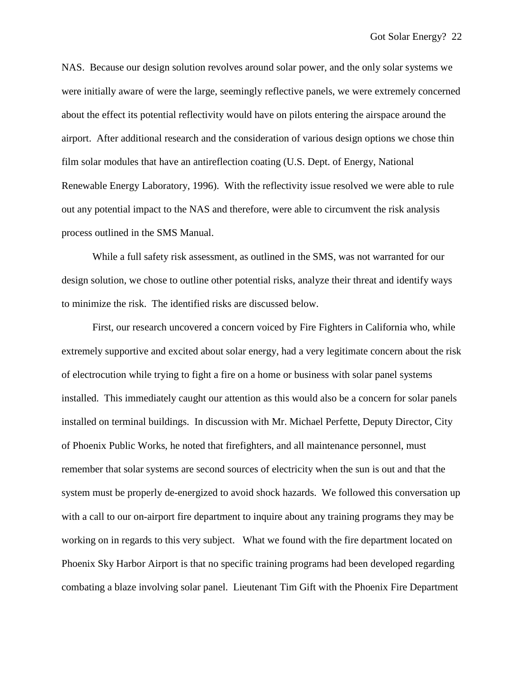NAS. Because our design solution revolves around solar power, and the only solar systems we were initially aware of were the large, seemingly reflective panels, we were extremely concerned about the effect its potential reflectivity would have on pilots entering the airspace around the airport. After additional research and the consideration of various design options we chose thin film solar modules that have an antireflection coating (U.S. Dept. of Energy, National Renewable Energy Laboratory, 1996). With the reflectivity issue resolved we were able to rule out any potential impact to the NAS and therefore, were able to circumvent the risk analysis process outlined in the SMS Manual.

While a full safety risk assessment, as outlined in the SMS, was not warranted for our design solution, we chose to outline other potential risks, analyze their threat and identify ways to minimize the risk. The identified risks are discussed below.

First, our research uncovered a concern voiced by Fire Fighters in California who, while extremely supportive and excited about solar energy, had a very legitimate concern about the risk of electrocution while trying to fight a fire on a home or business with solar panel systems installed. This immediately caught our attention as this would also be a concern for solar panels installed on terminal buildings. In discussion with Mr. Michael Perfette, Deputy Director, City of Phoenix Public Works, he noted that firefighters, and all maintenance personnel, must remember that solar systems are second sources of electricity when the sun is out and that the system must be properly de-energized to avoid shock hazards. We followed this conversation up with a call to our on-airport fire department to inquire about any training programs they may be working on in regards to this very subject. What we found with the fire department located on Phoenix Sky Harbor Airport is that no specific training programs had been developed regarding combating a blaze involving solar panel. Lieutenant Tim Gift with the Phoenix Fire Department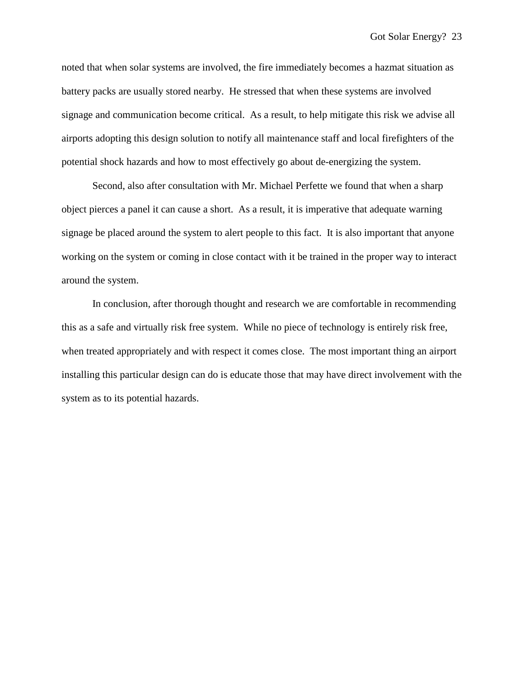noted that when solar systems are involved, the fire immediately becomes a hazmat situation as battery packs are usually stored nearby. He stressed that when these systems are involved signage and communication become critical. As a result, to help mitigate this risk we advise all airports adopting this design solution to notify all maintenance staff and local firefighters of the potential shock hazards and how to most effectively go about de-energizing the system.

Second, also after consultation with Mr. Michael Perfette we found that when a sharp object pierces a panel it can cause a short. As a result, it is imperative that adequate warning signage be placed around the system to alert people to this fact. It is also important that anyone working on the system or coming in close contact with it be trained in the proper way to interact around the system.

In conclusion, after thorough thought and research we are comfortable in recommending this as a safe and virtually risk free system. While no piece of technology is entirely risk free, when treated appropriately and with respect it comes close. The most important thing an airport installing this particular design can do is educate those that may have direct involvement with the system as to its potential hazards.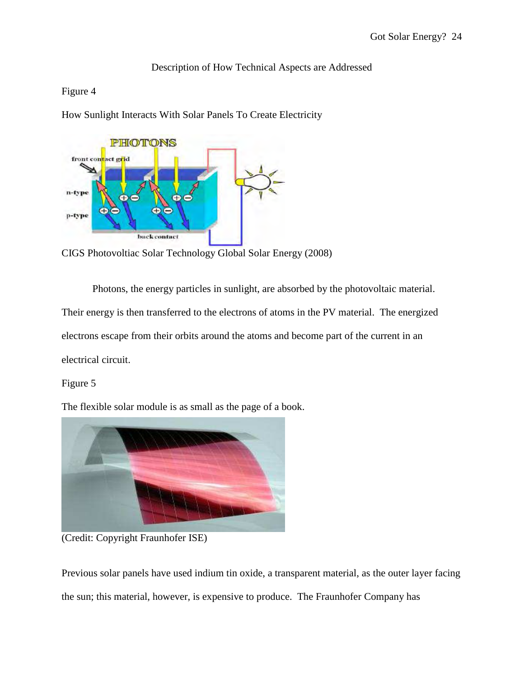# Description of How Technical Aspects are Addressed

# Figure 4

How Sunlight Interacts With Solar Panels To Create Electricity



CIGS Photovoltiac Solar Technology Global Solar Energy (2008)

Photons, the energy particles in sunlight, are absorbed by the photovoltaic material. Their energy is then transferred to the electrons of atoms in the PV material. The energized electrons escape from their orbits around the atoms and become part of the current in an electrical circuit.

# Figure 5

The flexible solar module is as small as the page of a book.



(Credit: Copyright Fraunhofer ISE)

Previous solar panels have used indium tin oxide, a transparent material, as the outer layer facing the sun; this material, however, is expensive to produce. The Fraunhofer Company has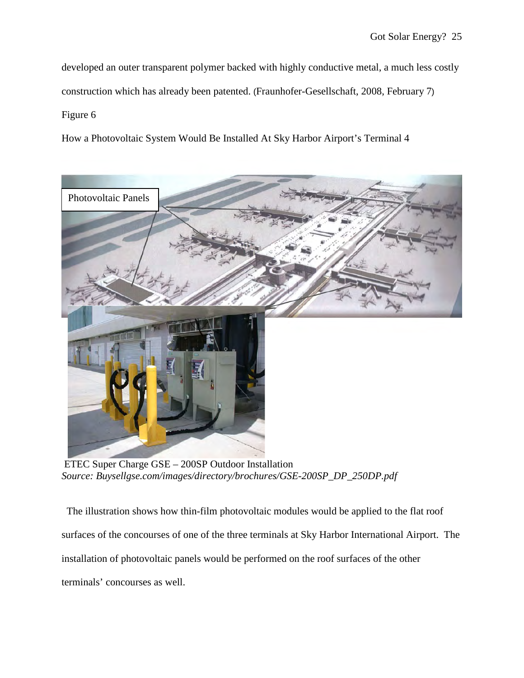developed an outer transparent polymer backed with highly conductive metal, a much less costly construction which has already been patented. (Fraunhofer-Gesellschaft, 2008, February 7) Figure 6

How a Photovoltaic System Would Be Installed At Sky Harbor Airport's Terminal 4



ETEC Super Charge GSE – 200SP Outdoor Installation *Source: Buysellgse.com/images/directory/brochures/GSE-200SP\_DP\_250DP.pdf* 

 The illustration shows how thin-film photovoltaic modules would be applied to the flat roof surfaces of the concourses of one of the three terminals at Sky Harbor International Airport. The installation of photovoltaic panels would be performed on the roof surfaces of the other terminals' concourses as well.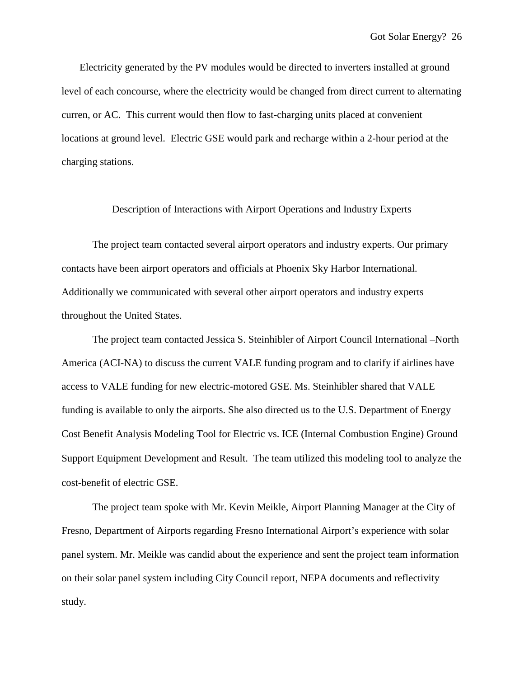Electricity generated by the PV modules would be directed to inverters installed at ground level of each concourse, where the electricity would be changed from direct current to alternating curren, or AC. This current would then flow to fast-charging units placed at convenient locations at ground level. Electric GSE would park and recharge within a 2-hour period at the charging stations.

### Description of Interactions with Airport Operations and Industry Experts

The project team contacted several airport operators and industry experts. Our primary contacts have been airport operators and officials at Phoenix Sky Harbor International. Additionally we communicated with several other airport operators and industry experts throughout the United States.

The project team contacted Jessica S. Steinhibler of Airport Council International –North America (ACI-NA) to discuss the current VALE funding program and to clarify if airlines have access to VALE funding for new electric-motored GSE. Ms. Steinhibler shared that VALE funding is available to only the airports. She also directed us to the U.S. Department of Energy Cost Benefit Analysis Modeling Tool for Electric vs. ICE (Internal Combustion Engine) Ground Support Equipment Development and Result. The team utilized this modeling tool to analyze the cost-benefit of electric GSE.

 The project team spoke with Mr. Kevin Meikle, Airport Planning Manager at the City of Fresno, Department of Airports regarding Fresno International Airport's experience with solar panel system. Mr. Meikle was candid about the experience and sent the project team information on their solar panel system including City Council report, NEPA documents and reflectivity study.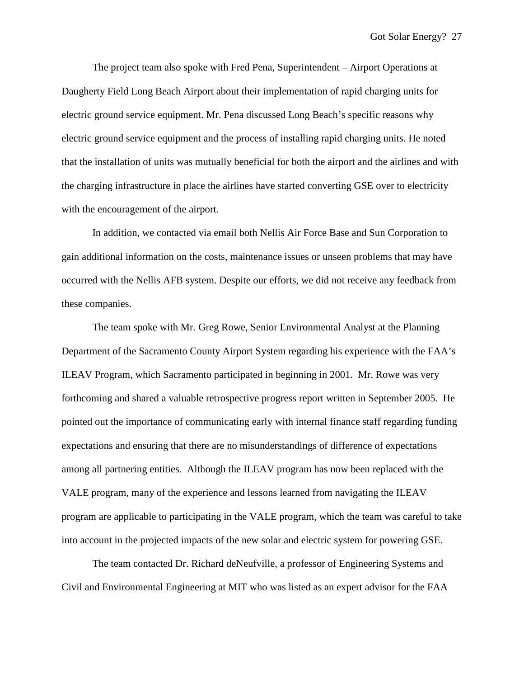The project team also spoke with Fred Pena, Superintendent – Airport Operations at Daugherty Field Long Beach Airport about their implementation of rapid charging units for electric ground service equipment. Mr. Pena discussed Long Beach's specific reasons why electric ground service equipment and the process of installing rapid charging units. He noted that the installation of units was mutually beneficial for both the airport and the airlines and with the charging infrastructure in place the airlines have started converting GSE over to electricity with the encouragement of the airport.

In addition, we contacted via email both Nellis Air Force Base and Sun Corporation to gain additional information on the costs, maintenance issues or unseen problems that may have occurred with the Nellis AFB system. Despite our efforts, we did not receive any feedback from these companies.

The team spoke with Mr. Greg Rowe, Senior Environmental Analyst at the Planning Department of the Sacramento County Airport System regarding his experience with the FAA's ILEAV Program, which Sacramento participated in beginning in 2001. Mr. Rowe was very forthcoming and shared a valuable retrospective progress report written in September 2005. He pointed out the importance of communicating early with internal finance staff regarding funding expectations and ensuring that there are no misunderstandings of difference of expectations among all partnering entities. Although the ILEAV program has now been replaced with the VALE program, many of the experience and lessons learned from navigating the ILEAV program are applicable to participating in the VALE program, which the team was careful to take into account in the projected impacts of the new solar and electric system for powering GSE.

The team contacted Dr. Richard deNeufville, a professor of Engineering Systems and Civil and Environmental Engineering at MIT who was listed as an expert advisor for the FAA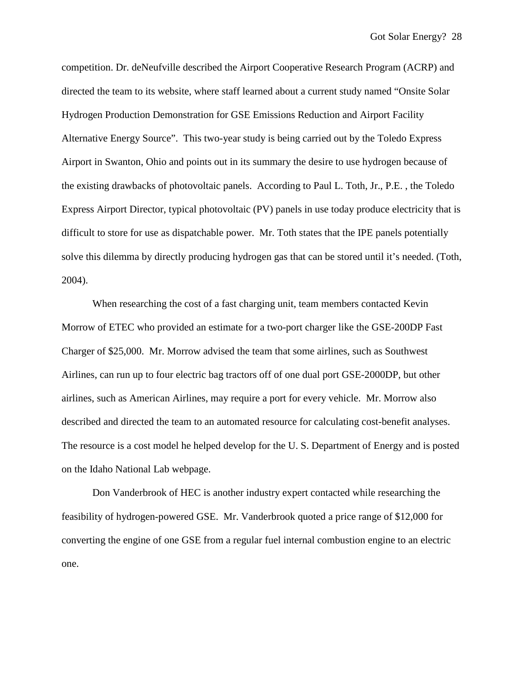competition. Dr. deNeufville described the Airport Cooperative Research Program (ACRP) and directed the team to its website, where staff learned about a current study named "Onsite Solar Hydrogen Production Demonstration for GSE Emissions Reduction and Airport Facility Alternative Energy Source". This two-year study is being carried out by the Toledo Express Airport in Swanton, Ohio and points out in its summary the desire to use hydrogen because of the existing drawbacks of photovoltaic panels. According to Paul L. Toth, Jr., P.E. , the Toledo Express Airport Director, typical photovoltaic (PV) panels in use today produce electricity that is difficult to store for use as dispatchable power. Mr. Toth states that the IPE panels potentially solve this dilemma by directly producing hydrogen gas that can be stored until it's needed. (Toth, 2004).

When researching the cost of a fast charging unit, team members contacted Kevin Morrow of ETEC who provided an estimate for a two-port charger like the GSE-200DP Fast Charger of \$25,000. Mr. Morrow advised the team that some airlines, such as Southwest Airlines, can run up to four electric bag tractors off of one dual port GSE-2000DP, but other airlines, such as American Airlines, may require a port for every vehicle. Mr. Morrow also described and directed the team to an automated resource for calculating cost-benefit analyses. The resource is a cost model he helped develop for the U. S. Department of Energy and is posted on the Idaho National Lab webpage.

Don Vanderbrook of HEC is another industry expert contacted while researching the feasibility of hydrogen-powered GSE. Mr. Vanderbrook quoted a price range of \$12,000 for converting the engine of one GSE from a regular fuel internal combustion engine to an electric one.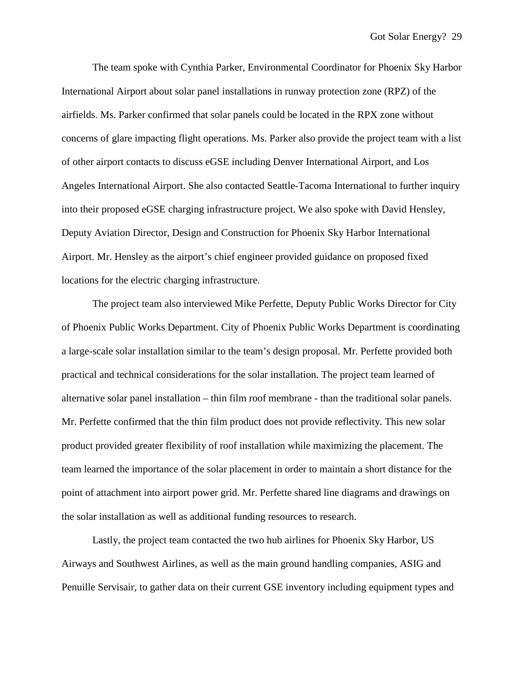The team spoke with Cynthia Parker, Environmental Coordinator for Phoenix Sky Harbor International Airport about solar panel installations in runway protection zone (RPZ) of the airfields. Ms. Parker confirmed that solar panels could be located in the RPX zone without concerns of glare impacting flight operations. Ms. Parker also provide the project team with a list of other airport contacts to discuss eGSE including Denver International Airport, and Los Angeles International Airport. She also contacted Seattle-Tacoma International to further inquiry into their proposed eGSE charging infrastructure project. We also spoke with David Hensley, Deputy Aviation Director, Design and Construction for Phoenix Sky Harbor International Airport. Mr. Hensley as the airport's chief engineer provided guidance on proposed fixed locations for the electric charging infrastructure.

The project team also interviewed Mike Perfette, Deputy Public Works Director for City of Phoenix Public Works Department. City of Phoenix Public Works Department is coordinating a large-scale solar installation similar to the team's design proposal. Mr. Perfette provided both practical and technical considerations for the solar installation. The project team learned of alternative solar panel installation – thin film roof membrane - than the traditional solar panels. Mr. Perfette confirmed that the thin film product does not provide reflectivity. This new solar product provided greater flexibility of roof installation while maximizing the placement. The team learned the importance of the solar placement in order to maintain a short distance for the point of attachment into airport power grid. Mr. Perfette shared line diagrams and drawings on the solar installation as well as additional funding resources to research.

Lastly, the project team contacted the two hub airlines for Phoenix Sky Harbor, US Airways and Southwest Airlines, as well as the main ground handling companies, ASIG and Penuille Servisair, to gather data on their current GSE inventory including equipment types and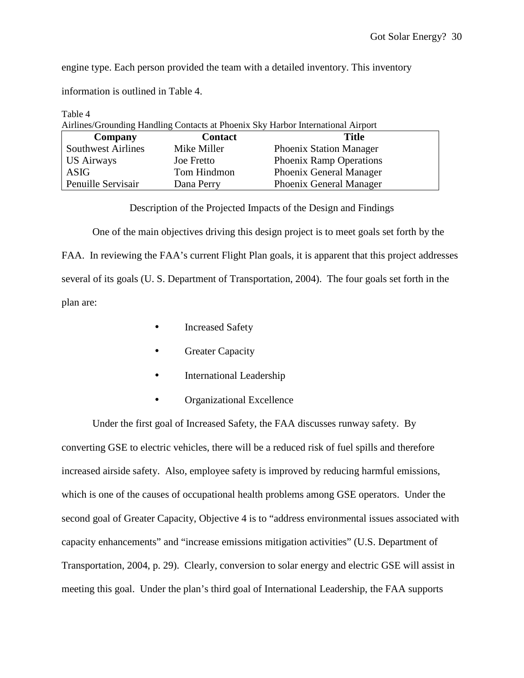engine type. Each person provided the team with a detailed inventory. This inventory

information is outlined in Table 4.

| Table 4                   |                   |                                                                                  |  |
|---------------------------|-------------------|----------------------------------------------------------------------------------|--|
|                           |                   | Airlines/Grounding Handling Contacts at Phoenix Sky Harbor International Airport |  |
| Company                   | <b>Contact</b>    | Title                                                                            |  |
| <b>Southwest Airlines</b> | Mike Miller       | <b>Phoenix Station Manager</b>                                                   |  |
| <b>US Airways</b>         | <b>Joe Fretto</b> | <b>Phoenix Ramp Operations</b>                                                   |  |
| <b>ASIG</b>               | Tom Hindmon       | Phoenix General Manager                                                          |  |
| Penuille Servisair        | Dana Perry        | Phoenix General Manager                                                          |  |

Description of the Projected Impacts of the Design and Findings

One of the main objectives driving this design project is to meet goals set forth by the FAA. In reviewing the FAA's current Flight Plan goals, it is apparent that this project addresses several of its goals (U. S. Department of Transportation, 2004). The four goals set forth in the plan are:

- Increased Safety
- Greater Capacity
- International Leadership
- Organizational Excellence

Under the first goal of Increased Safety, the FAA discusses runway safety. By converting GSE to electric vehicles, there will be a reduced risk of fuel spills and therefore increased airside safety. Also, employee safety is improved by reducing harmful emissions, which is one of the causes of occupational health problems among GSE operators. Under the second goal of Greater Capacity, Objective 4 is to "address environmental issues associated with capacity enhancements" and "increase emissions mitigation activities" (U.S. Department of Transportation, 2004, p. 29). Clearly, conversion to solar energy and electric GSE will assist in meeting this goal. Under the plan's third goal of International Leadership, the FAA supports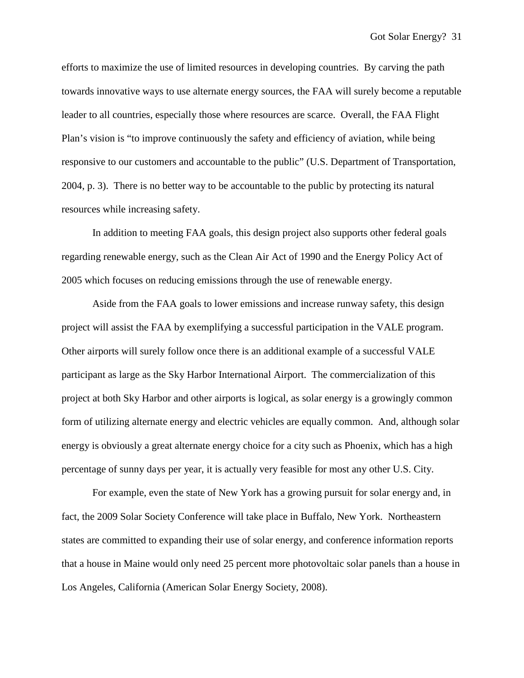efforts to maximize the use of limited resources in developing countries. By carving the path towards innovative ways to use alternate energy sources, the FAA will surely become a reputable leader to all countries, especially those where resources are scarce. Overall, the FAA Flight Plan's vision is "to improve continuously the safety and efficiency of aviation, while being responsive to our customers and accountable to the public" (U.S. Department of Transportation, 2004, p. 3). There is no better way to be accountable to the public by protecting its natural resources while increasing safety.

In addition to meeting FAA goals, this design project also supports other federal goals regarding renewable energy, such as the Clean Air Act of 1990 and the Energy Policy Act of 2005 which focuses on reducing emissions through the use of renewable energy.

Aside from the FAA goals to lower emissions and increase runway safety, this design project will assist the FAA by exemplifying a successful participation in the VALE program. Other airports will surely follow once there is an additional example of a successful VALE participant as large as the Sky Harbor International Airport. The commercialization of this project at both Sky Harbor and other airports is logical, as solar energy is a growingly common form of utilizing alternate energy and electric vehicles are equally common. And, although solar energy is obviously a great alternate energy choice for a city such as Phoenix, which has a high percentage of sunny days per year, it is actually very feasible for most any other U.S. City.

For example, even the state of New York has a growing pursuit for solar energy and, in fact, the 2009 Solar Society Conference will take place in Buffalo, New York. Northeastern states are committed to expanding their use of solar energy, and conference information reports that a house in Maine would only need 25 percent more photovoltaic solar panels than a house in Los Angeles, California (American Solar Energy Society, 2008).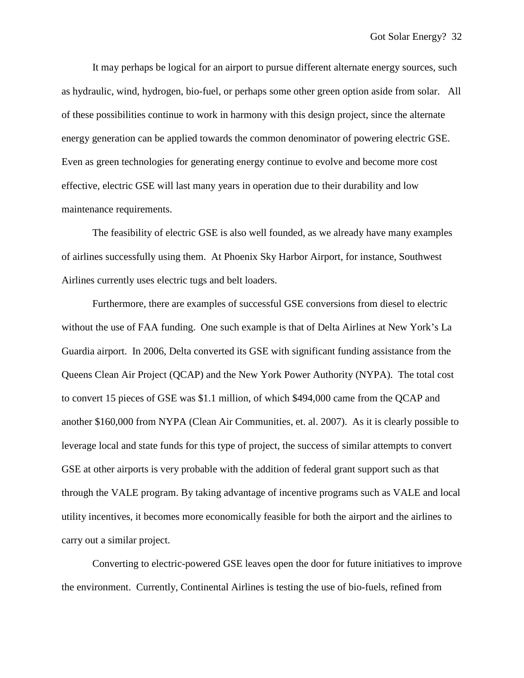It may perhaps be logical for an airport to pursue different alternate energy sources, such as hydraulic, wind, hydrogen, bio-fuel, or perhaps some other green option aside from solar. All of these possibilities continue to work in harmony with this design project, since the alternate energy generation can be applied towards the common denominator of powering electric GSE. Even as green technologies for generating energy continue to evolve and become more cost effective, electric GSE will last many years in operation due to their durability and low maintenance requirements.

The feasibility of electric GSE is also well founded, as we already have many examples of airlines successfully using them. At Phoenix Sky Harbor Airport, for instance, Southwest Airlines currently uses electric tugs and belt loaders.

Furthermore, there are examples of successful GSE conversions from diesel to electric without the use of FAA funding. One such example is that of Delta Airlines at New York's La Guardia airport. In 2006, Delta converted its GSE with significant funding assistance from the Queens Clean Air Project (QCAP) and the New York Power Authority (NYPA). The total cost to convert 15 pieces of GSE was \$1.1 million, of which \$494,000 came from the QCAP and another \$160,000 from NYPA (Clean Air Communities, et. al. 2007). As it is clearly possible to leverage local and state funds for this type of project, the success of similar attempts to convert GSE at other airports is very probable with the addition of federal grant support such as that through the VALE program. By taking advantage of incentive programs such as VALE and local utility incentives, it becomes more economically feasible for both the airport and the airlines to carry out a similar project.

Converting to electric-powered GSE leaves open the door for future initiatives to improve the environment. Currently, Continental Airlines is testing the use of bio-fuels, refined from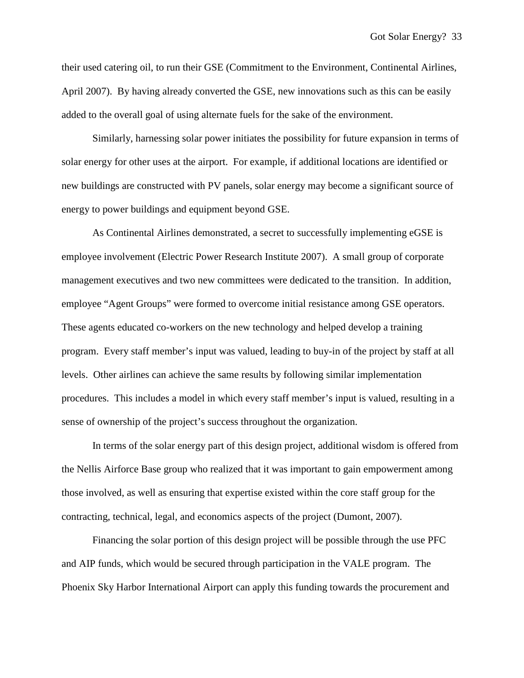their used catering oil, to run their GSE (Commitment to the Environment, Continental Airlines, April 2007). By having already converted the GSE, new innovations such as this can be easily added to the overall goal of using alternate fuels for the sake of the environment.

Similarly, harnessing solar power initiates the possibility for future expansion in terms of solar energy for other uses at the airport. For example, if additional locations are identified or new buildings are constructed with PV panels, solar energy may become a significant source of energy to power buildings and equipment beyond GSE.

As Continental Airlines demonstrated, a secret to successfully implementing eGSE is employee involvement (Electric Power Research Institute 2007). A small group of corporate management executives and two new committees were dedicated to the transition. In addition, employee "Agent Groups" were formed to overcome initial resistance among GSE operators. These agents educated co-workers on the new technology and helped develop a training program. Every staff member's input was valued, leading to buy-in of the project by staff at all levels. Other airlines can achieve the same results by following similar implementation procedures. This includes a model in which every staff member's input is valued, resulting in a sense of ownership of the project's success throughout the organization.

In terms of the solar energy part of this design project, additional wisdom is offered from the Nellis Airforce Base group who realized that it was important to gain empowerment among those involved, as well as ensuring that expertise existed within the core staff group for the contracting, technical, legal, and economics aspects of the project (Dumont, 2007).

Financing the solar portion of this design project will be possible through the use PFC and AIP funds, which would be secured through participation in the VALE program. The Phoenix Sky Harbor International Airport can apply this funding towards the procurement and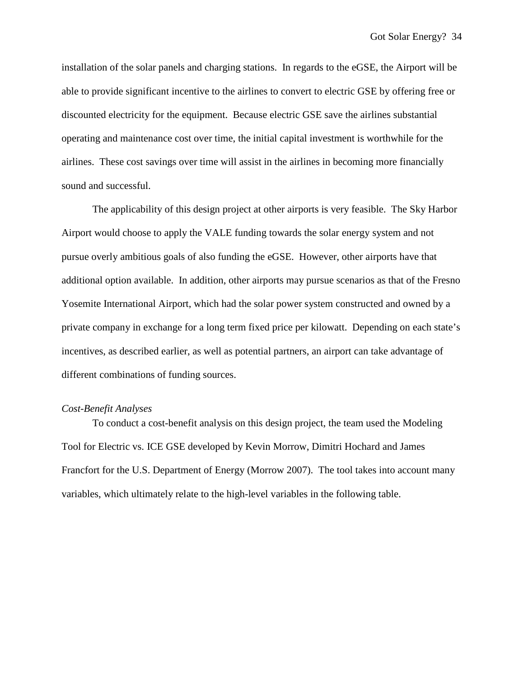installation of the solar panels and charging stations. In regards to the eGSE, the Airport will be able to provide significant incentive to the airlines to convert to electric GSE by offering free or discounted electricity for the equipment. Because electric GSE save the airlines substantial operating and maintenance cost over time, the initial capital investment is worthwhile for the airlines. These cost savings over time will assist in the airlines in becoming more financially sound and successful.

The applicability of this design project at other airports is very feasible. The Sky Harbor Airport would choose to apply the VALE funding towards the solar energy system and not pursue overly ambitious goals of also funding the eGSE. However, other airports have that additional option available. In addition, other airports may pursue scenarios as that of the Fresno Yosemite International Airport, which had the solar power system constructed and owned by a private company in exchange for a long term fixed price per kilowatt. Depending on each state's incentives, as described earlier, as well as potential partners, an airport can take advantage of different combinations of funding sources.

### *Cost-Benefit Analyses*

To conduct a cost-benefit analysis on this design project, the team used the Modeling Tool for Electric vs. ICE GSE developed by Kevin Morrow, Dimitri Hochard and James Francfort for the U.S. Department of Energy (Morrow 2007). The tool takes into account many variables, which ultimately relate to the high-level variables in the following table.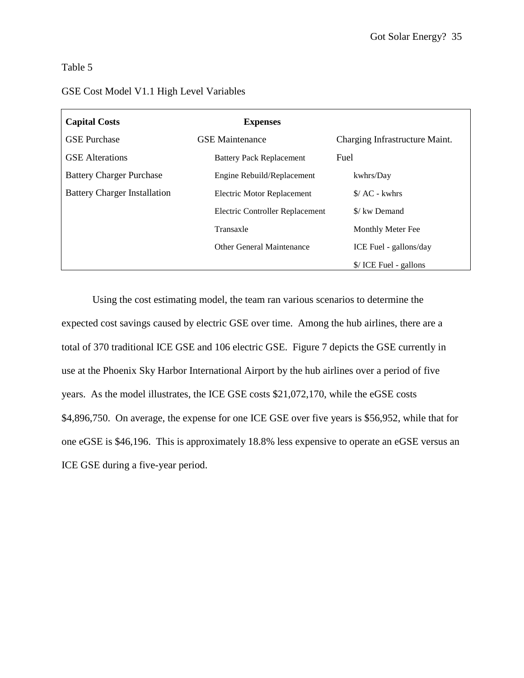## Table 5

## GSE Cost Model V1.1 High Level Variables

| <b>Capital Costs</b>                | <b>Expenses</b>                 |                                |
|-------------------------------------|---------------------------------|--------------------------------|
| <b>GSE Purchase</b>                 | <b>GSE</b> Maintenance          | Charging Infrastructure Maint. |
| <b>GSE</b> Alterations              | <b>Battery Pack Replacement</b> | Fuel                           |
| <b>Battery Charger Purchase</b>     | Engine Rebuild/Replacement      | kwhrs/Day                      |
| <b>Battery Charger Installation</b> | Electric Motor Replacement      | $\angle$ AC - kwhrs            |
|                                     | Electric Controller Replacement | \$/ kw Demand                  |
|                                     | Transaxle                       | Monthly Meter Fee              |
|                                     | Other General Maintenance       | ICE Fuel - gallons/day         |
|                                     |                                 | \$/ICE Fuel - gallons          |

Using the cost estimating model, the team ran various scenarios to determine the expected cost savings caused by electric GSE over time. Among the hub airlines, there are a total of 370 traditional ICE GSE and 106 electric GSE. Figure 7 depicts the GSE currently in use at the Phoenix Sky Harbor International Airport by the hub airlines over a period of five years. As the model illustrates, the ICE GSE costs \$21,072,170, while the eGSE costs \$4,896,750. On average, the expense for one ICE GSE over five years is \$56,952, while that for one eGSE is \$46,196. This is approximately 18.8% less expensive to operate an eGSE versus an ICE GSE during a five-year period.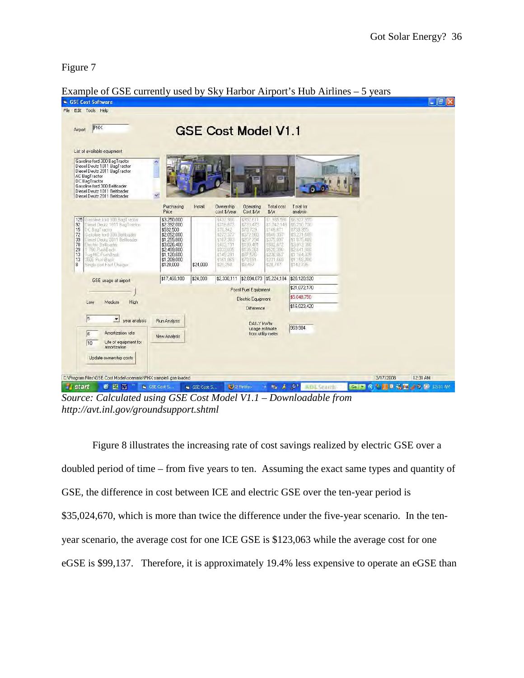Figure 7

|                                                                                                                                                                                                                                                                                                               |                                                                                                                                                |          | <b>GSE Cost Model V1.1</b>                                                                                                   |                                                                                                                         |                                                                                                                                       |                                                                                                                                                |  |
|---------------------------------------------------------------------------------------------------------------------------------------------------------------------------------------------------------------------------------------------------------------------------------------------------------------|------------------------------------------------------------------------------------------------------------------------------------------------|----------|------------------------------------------------------------------------------------------------------------------------------|-------------------------------------------------------------------------------------------------------------------------|---------------------------------------------------------------------------------------------------------------------------------------|------------------------------------------------------------------------------------------------------------------------------------------------|--|
| List of available equipment<br>Gasoline ford 300 BagTractor<br>Diesel Deutz 1011 BagTractor<br>Diesel Deutz 2011 BagTractor<br>AC BagTractor<br>DC BagTractor<br>Gasoline ford 300 Beltloader<br>Diesel Deutz 1011 Beltloader<br>Diesel Deutz 2011 Beltloader                                                 | $\blacktriangle_1$<br>٧l                                                                                                                       |          |                                                                                                                              |                                                                                                                         |                                                                                                                                       |                                                                                                                                                |  |
|                                                                                                                                                                                                                                                                                                               | Purchasing<br>Price                                                                                                                            | Install  | Ownership<br>cost \$/year                                                                                                    | Operating<br>Cost \$/vr                                                                                                 | Total cost<br>$\frac{4}{3}$ /yr                                                                                                       | Total for<br>analysis                                                                                                                          |  |
| 125 Gasoline ford 300 BagTractor<br>92<br>Diesel Deutz 1011 BagTractor<br>15<br>DC BagTractor<br>72<br>Gasoline ford 300 Belloader<br>Diesel Deutz 2011 Beltloader<br>39<br>Electric Belloader<br>78<br>29<br>T-750 PushBack<br>Tug MC PushBack<br>13<br>13<br>350E PushBack<br>8<br>Single port Fast Charger | \$3,250,000<br>\$2,392,000<br>\$532,500<br>\$2,052,000<br>\$1,255,800<br>\$3,026,400<br>\$2,499,800<br>\$1,120,600<br>\$1,209,000<br>\$128,000 | \$24,000 | (432.980)<br>\$318,673<br>\$70,942<br>\$273.377<br>\$167,303<br>\$403.191<br>\$333,035<br>\$149,291<br>\$161,069<br>\$21,250 | 952.611<br>\$723,473<br>\$76,729<br>\$372,960<br>\$207.794<br>\$199.481<br>\$195,361<br>\$87,576<br>\$70,591<br>\$8,497 | <b>新.385,591</b><br>\$1,042,146<br>\$146,671<br>\$646,337<br>\$375,097<br>1602.672<br>\$528,396<br>\$236,867<br>\$231,660<br>\$28,747 | \$6,927,955<br>\$5,210,700<br>1733, 355<br>\$3,231,685<br>\$1 875,485<br>\$3.013.360<br>\$2,641,980<br>\$1 184,325<br>\$1,158,300<br>\$143.735 |  |
| GSE usage at airport                                                                                                                                                                                                                                                                                          | \$17,466,100                                                                                                                                   | \$24,000 |                                                                                                                              | \$2,330,111 \$2,894,073 \$5,224,184                                                                                     |                                                                                                                                       | \$26,120,920                                                                                                                                   |  |
|                                                                                                                                                                                                                                                                                                               |                                                                                                                                                |          |                                                                                                                              | <b>Fossil Fuel Equipment</b>                                                                                            |                                                                                                                                       | \$21,072,170                                                                                                                                   |  |
| High<br>Medium<br>Low                                                                                                                                                                                                                                                                                         |                                                                                                                                                |          |                                                                                                                              | Electric Equipment                                                                                                      |                                                                                                                                       | \$5,048,750                                                                                                                                    |  |
|                                                                                                                                                                                                                                                                                                               |                                                                                                                                                |          |                                                                                                                              | Difference                                                                                                              |                                                                                                                                       | \$16,023,420                                                                                                                                   |  |
| $\sqrt{5}$<br>$\overline{z}$<br>year analysis<br>Amortization rate<br>$\sqrt{6}$<br>Life of equipment for<br>10<br>amortization<br>Update ownership costs                                                                                                                                                     | Run Analysis<br>New Analysis                                                                                                                   |          |                                                                                                                              | <b>DAILY kWhr</b><br>usage estimate                                                                                     | from utility meter                                                                                                                    | 969.984                                                                                                                                        |  |

Example of GSE currently used by Sky Harbor Airport's Hub Airlines – 5 years

*Source: Calculated using GSE Cost Model V1.1 – Downloadable from http://avt.inl.gov/groundsupport.shtml* 

Figure 8 illustrates the increasing rate of cost savings realized by electric GSE over a doubled period of time – from five years to ten. Assuming the exact same types and quantity of GSE, the difference in cost between ICE and electric GSE over the ten-year period is \$35,024,670, which is more than twice the difference under the five-year scenario. In the tenyear scenario, the average cost for one ICE GSE is \$123,063 while the average cost for one eGSE is \$99,137. Therefore, it is approximately 19.4% less expensive to operate an eGSE than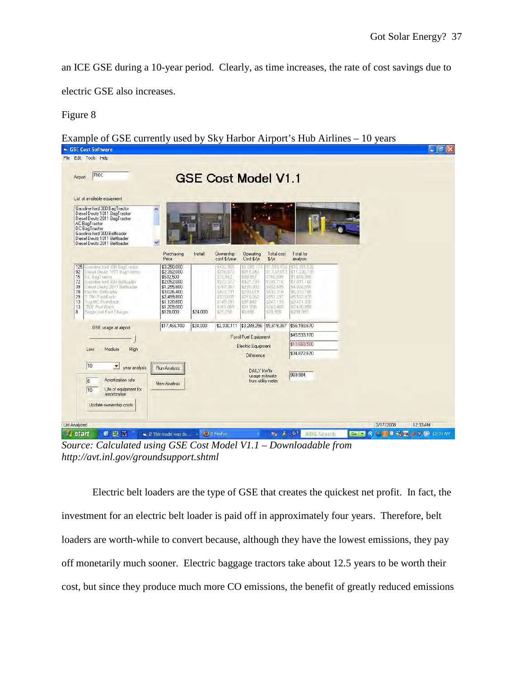an ICE GSE during a 10-year period. Clearly, as time increases, the rate of cost savings due to

electric GSE also increases.

# Figure 8

Example of GSE currently used by Sky Harbor Airport's Hub Airlines – 10 years

| List of available equipment<br>Gasoline ford 300 BagTractor<br>ô,<br>Diesel Deutz 1011 BagTractor<br>Diesel Deutz 2011 BagTractor<br>AC BagTractor<br>DC BagTractor<br>Gasoline ford 300 Beltloader<br>Diesel Deutz 1011 Beltloader<br>v<br>Diesel Deutz 2011 Beltloader<br>125 Gasoline ford 300 BagTractor<br>Diesel Deutz 1011 BagTractor<br>92<br>15<br>DC BagTractor<br>72<br>Gasoline ford 300 Belloader<br>39<br>Diesel Deutz 2011 Beltloader<br>78<br>Electric Belloader<br>T-750 PushBack<br>29<br>13<br>Tug MC PushBack<br>13<br>350E PushBack<br>8<br>Single port Fast Charger | Ē<br>Purchasing<br>Price<br>\$3,250,000<br>\$2,392,000<br>\$532,500<br>\$2,052,000<br>\$1,255,800<br>\$3,026,400<br>\$2,499,800 | Install<br><b>Ownership</b><br>cost \$/year<br>\$432,980<br>\$318,673<br>170,942<br>\$273.377<br>\$167,303<br>\$403,191 | <b>Operating</b><br>Cost \$/yr<br>11,085,173<br>\$814,340<br>\$89,957<br>\$427,739<br>\$235,302 | Total cost<br>$\frac{4}{3}$ /yr<br>\$1,518,153<br>\$1,133,013<br>\$160,899<br>\$701.116<br>\$402,605 | Total for<br>analysis<br>\$15,181,530<br>\$11,330,130<br>\$1,608,990<br>\$7,011,160  |
|-------------------------------------------------------------------------------------------------------------------------------------------------------------------------------------------------------------------------------------------------------------------------------------------------------------------------------------------------------------------------------------------------------------------------------------------------------------------------------------------------------------------------------------------------------------------------------------------|---------------------------------------------------------------------------------------------------------------------------------|-------------------------------------------------------------------------------------------------------------------------|-------------------------------------------------------------------------------------------------|------------------------------------------------------------------------------------------------------|--------------------------------------------------------------------------------------|
|                                                                                                                                                                                                                                                                                                                                                                                                                                                                                                                                                                                           |                                                                                                                                 |                                                                                                                         |                                                                                                 |                                                                                                      |                                                                                      |
|                                                                                                                                                                                                                                                                                                                                                                                                                                                                                                                                                                                           |                                                                                                                                 |                                                                                                                         |                                                                                                 |                                                                                                      |                                                                                      |
|                                                                                                                                                                                                                                                                                                                                                                                                                                                                                                                                                                                           |                                                                                                                                 |                                                                                                                         |                                                                                                 |                                                                                                      |                                                                                      |
|                                                                                                                                                                                                                                                                                                                                                                                                                                                                                                                                                                                           | \$1,120,600<br>\$1,209,000<br>\$128,000                                                                                         | \$333,035<br>\$149,291<br>\$161,069<br>\$24,000<br>\$20,250                                                             | \$230,019<br>\$218,262<br>\$97,842<br>\$81,936<br>\$8,686                                       | \$633,210<br>\$551,297<br>\$247,133<br>\$243,005<br>\$28,936                                         | \$4,026,050<br>\$6,332,100<br>\$5,512,970<br>\$2,471,330<br>\$2 430 050<br>\$299.360 |
| GSE usage at airport                                                                                                                                                                                                                                                                                                                                                                                                                                                                                                                                                                      | \$17,466,100                                                                                                                    | \$24,000<br>\$2,330,111                                                                                                 |                                                                                                 | \$3,289,256 \$5,619,367                                                                              | \$56,193,670                                                                         |
|                                                                                                                                                                                                                                                                                                                                                                                                                                                                                                                                                                                           |                                                                                                                                 |                                                                                                                         | <b>Fossil Fuel Equipment</b>                                                                    |                                                                                                      | \$45,533,170                                                                         |
| High<br>Low<br>Medium                                                                                                                                                                                                                                                                                                                                                                                                                                                                                                                                                                     |                                                                                                                                 |                                                                                                                         | Electric Equipment                                                                              |                                                                                                      | \$10,660,500                                                                         |
|                                                                                                                                                                                                                                                                                                                                                                                                                                                                                                                                                                                           |                                                                                                                                 |                                                                                                                         | Difference                                                                                      |                                                                                                      | \$34,872,670                                                                         |
| 10<br>year analysis<br>Amortization rate<br>i6<br>Life of equipment for<br>$\sqrt{10}$<br>amortization<br>Update ownership costs                                                                                                                                                                                                                                                                                                                                                                                                                                                          | Run Analysis<br>New Analysis                                                                                                    |                                                                                                                         | DAILY kWhr                                                                                      | usage estimate<br>from utility meter                                                                 | 969.984                                                                              |
|                                                                                                                                                                                                                                                                                                                                                                                                                                                                                                                                                                                           |                                                                                                                                 |                                                                                                                         |                                                                                                 |                                                                                                      |                                                                                      |

*Source: Calculated using GSE Cost Model V1.1 – Downloadable from http://avt.inl.gov/groundsupport.shtml* 

Electric belt loaders are the type of GSE that creates the quickest net profit. In fact, the investment for an electric belt loader is paid off in approximately four years. Therefore, belt loaders are worth-while to convert because, although they have the lowest emissions, they pay off monetarily much sooner. Electric baggage tractors take about 12.5 years to be worth their cost, but since they produce much more CO emissions, the benefit of greatly reduced emissions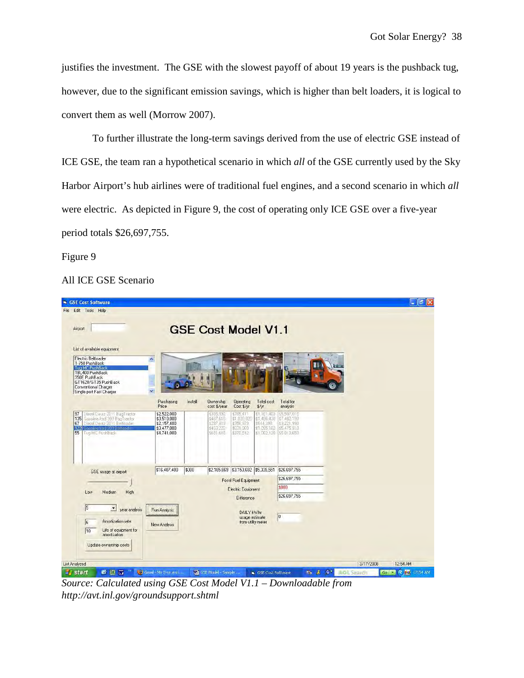justifies the investment. The GSE with the slowest payoff of about 19 years is the pushback tug, however, due to the significant emission savings, which is higher than belt loaders, it is logical to convert them as well (Morrow 2007).

To further illustrate the long-term savings derived from the use of electric GSE instead of ICE GSE, the team ran a hypothetical scenario in which *all* of the GSE currently used by the Sky Harbor Airport's hub airlines were of traditional fuel engines, and a second scenario in which *all* were electric. As depicted in Figure 9, the cost of operating only ICE GSE over a five-year period totals \$26,697,755.

Figure 9

# All ICE GSE Scenario

| File Edit Tools Help<br>Airport                                                                                                                                                                         |                                                                         |         |                                                               |                                                                 |                                                                      |                                                                         |                                |          |
|---------------------------------------------------------------------------------------------------------------------------------------------------------------------------------------------------------|-------------------------------------------------------------------------|---------|---------------------------------------------------------------|-----------------------------------------------------------------|----------------------------------------------------------------------|-------------------------------------------------------------------------|--------------------------------|----------|
|                                                                                                                                                                                                         |                                                                         |         |                                                               |                                                                 |                                                                      |                                                                         |                                |          |
|                                                                                                                                                                                                         |                                                                         |         | <b>GSE Cost Model V1.1</b>                                    |                                                                 |                                                                      |                                                                         |                                |          |
| List of available equipment<br>Electric Beltloader<br>T-750 PushBack<br>Tug MC PushBack<br>TBL400 PushBack<br>350E PushBack<br>GT1628/GT35 PushBack<br>Conventional Charger<br>Single port Fast Charger | ۸<br>$\overline{\mathbf{v}}$                                            |         |                                                               |                                                                 |                                                                      |                                                                         |                                |          |
|                                                                                                                                                                                                         | Purchasing<br>Price                                                     | Install | Ownership<br>cost \$/year                                     | Operating<br>Cost \$/yr                                         | Total cost<br>$\frac{4}{3}$ /yr                                      | Total for<br>analysis                                                   |                                |          |
| 97<br>Diesel Deutz 2011 BagTractor<br>Gasoline ford 300 BagTractor<br>135<br>Diesel Deutz 2011 Beltloader<br>67<br>122<br>Fasoline ford 300 Balticade<br>55<br>Tug MC PushBack                          | \$2,522,000<br>\$3,510,000<br>\$2,157,400<br>\$3,477,000<br>\$4,741,000 |         | \$335,992<br>\$467,618<br>\$297 419<br>\$463,222<br>\$631,618 | \$765,411<br>\$1,028,820<br>\$356,979<br>\$631,960<br>\$370.512 | \$1.101.408<br>\$1,496,438<br>\$644,398<br>11.095.182<br>\$1,002,130 | \$5,507,015<br>\$7,482,190<br>\$3,221,990<br>\$5,475,910<br>\$5,010,650 |                                |          |
| GSE usage at airport                                                                                                                                                                                    | \$16,407,400                                                            | \$000   |                                                               | \$2,185,869 \$3,153,682 \$5,339,551                             |                                                                      | \$26,697,755                                                            |                                |          |
|                                                                                                                                                                                                         |                                                                         |         |                                                               | Fossil Fuel Equipment                                           |                                                                      | \$26,697,755                                                            |                                |          |
| High<br>Medium<br>Low                                                                                                                                                                                   |                                                                         |         |                                                               | Electric Equipment<br><b>Difference</b>                         |                                                                      | \$000<br>\$26,697,755                                                   |                                |          |
| $\sqrt{5}$<br>$\overline{z}$<br>year analysis<br>Amortization rate<br>I6<br>Life of equipment for<br>10<br>amortization<br>Update ownership costs                                                       | Run Analysis<br>New Analysis                                            |         |                                                               | DAILY kWhr<br>usage estimate                                    | from utility meter                                                   | 0                                                                       |                                |          |
| <b>List Analyzed</b><br>6 四 四                                                                                                                                                                           | Gmail - My S-yr and                                                     |         | GSE Model - Sample                                            |                                                                 |                                                                      | → 表 ◎                                                                   | 3/17/2008<br><b>AOL Search</b> | 12:54 AM |

*Source: Calculated using GSE Cost Model V1.1 – Downloadable from http://avt.inl.gov/groundsupport.shtml*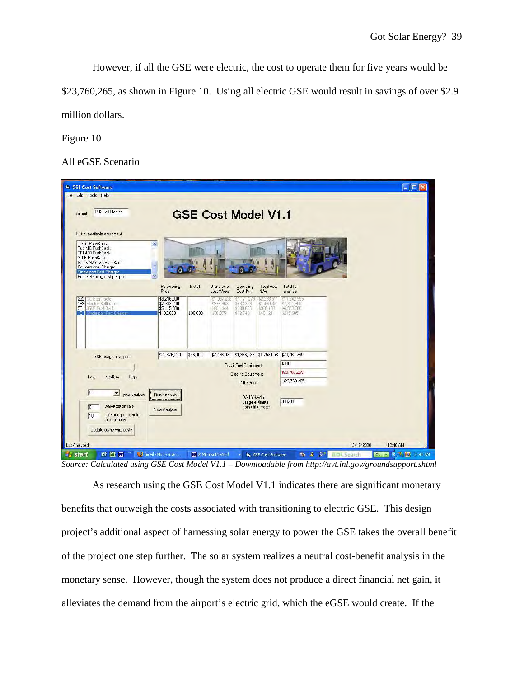However, if all the GSE were electric, the cost to operate them for five years would be \$23,760,265, as shown in Figure 10. Using all electric GSE would result in savings of over \$2.9 million dollars.

Figure 10

All eGSE Scenario

| GSE Cost Software                                                                                                                                                                |                                                                               |                     |                                                                                       |                                                                                     |                                                                                        |                                                                                  |                               | $\Box$ dx                              |
|----------------------------------------------------------------------------------------------------------------------------------------------------------------------------------|-------------------------------------------------------------------------------|---------------------|---------------------------------------------------------------------------------------|-------------------------------------------------------------------------------------|----------------------------------------------------------------------------------------|----------------------------------------------------------------------------------|-------------------------------|----------------------------------------|
| File Edit Tools Help<br>PHX -all Electric<br>Airport<br>List of available equipment                                                                                              |                                                                               |                     | <b>GSE Cost Model V1.1</b>                                                            |                                                                                     |                                                                                        |                                                                                  |                               |                                        |
| T-750 PushBack<br>Tug MC PushBack<br>TBL400 PushBack<br>350E PushBack<br>GT1628/GT35 PushBack<br>Conventional Charger<br>Single port Fast Charger<br>Power Sharing cost per port | $\hat{\mathbf{r}}$                                                            |                     |                                                                                       |                                                                                     |                                                                                        |                                                                                  |                               |                                        |
| 232<br>DC BagTractor<br>Electric Beltloader<br>189<br>55 350E PushBack<br>12 <sup>1</sup><br>Smale part Fast Charge                                                              | Purchasing<br>Price<br>\$8,236,000<br>\$7,333,200<br>\$5,115,000<br>\$192,000 | Install<br>\$36,000 | <b>Ownership</b><br>cost \$/vear<br>\$1,097,238<br>\$976.963<br>\$691 444<br>\$30,375 | <b>Operating</b><br>Cost \$/yr<br>\$1,171,273<br>\$483,358<br>\$298,656<br>\$12,746 | Total cost<br>$\frac{4}{3}$ /yr<br>\$2,268.511<br>\$1,460,321<br>\$980,100<br>\$43,121 | Total for<br>analysis<br>\$11.342,555<br>\$7,301,605<br>\$4,900,500<br>\$215,605 |                               |                                        |
| GSE usage at airport                                                                                                                                                             | \$20,876,200                                                                  | \$36,000            |                                                                                       |                                                                                     | \$2,786,020 \$1,966,033 \$4,752,053 \$23,760,265                                       | \$000                                                                            |                               |                                        |
| Medium<br>High<br>Low                                                                                                                                                            |                                                                               |                     |                                                                                       | Fossil Fuel Equipment<br>Electric Equipment<br><b>Difference</b>                    |                                                                                        | \$23,760,265<br>-\$23,760,265                                                    |                               |                                        |
| $\sqrt{5}$<br>$\mathbf{z}$<br>year analysis<br>Amortization rate<br>$\sqrt{6}$<br>Life of equipment for<br>10<br>amortization<br>Update ownership costs                          | Run Analysis<br>New Analysis                                                  |                     |                                                                                       | DAILY kWhr<br>usage estimate                                                        | from utility meter                                                                     | 8902.8                                                                           |                               |                                        |
| List Analyzed<br>6 四 四<br><b><i>il</i></b> start                                                                                                                                 | Gmail - My 5-yr an                                                            |                     | <b>N</b> 2 Microsoft Word                                                             |                                                                                     | GSE Cost Software                                                                      | $\rightarrow$ $\rightarrow$ $\rightarrow$                                        | 3/17/2008<br><b>ADLSearch</b> | 12:48 AM<br><b>Golf River L2:48 AM</b> |

*Source: Calculated using GSE Cost Model V1.1 – Downloadable from http://avt.inl.gov/groundsupport.shtml* 

As research using the GSE Cost Model V1.1 indicates there are significant monetary benefits that outweigh the costs associated with transitioning to electric GSE. This design project's additional aspect of harnessing solar energy to power the GSE takes the overall benefit of the project one step further. The solar system realizes a neutral cost-benefit analysis in the monetary sense. However, though the system does not produce a direct financial net gain, it alleviates the demand from the airport's electric grid, which the eGSE would create. If the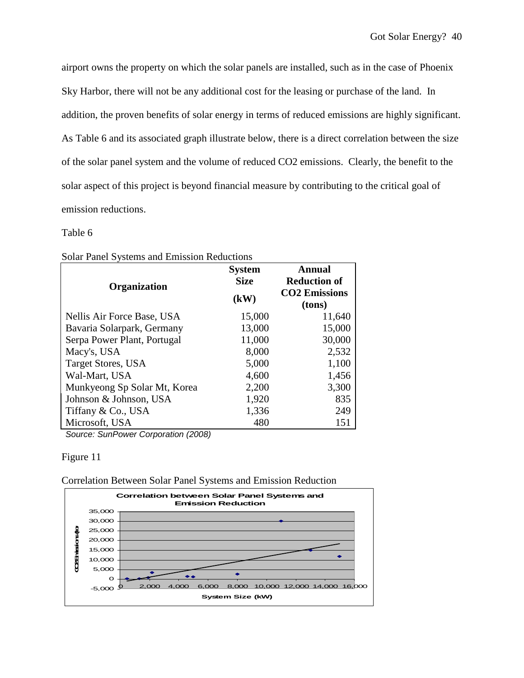airport owns the property on which the solar panels are installed, such as in the case of Phoenix Sky Harbor, there will not be any additional cost for the leasing or purchase of the land. In addition, the proven benefits of solar energy in terms of reduced emissions are highly significant. As Table 6 and its associated graph illustrate below, there is a direct correlation between the size of the solar panel system and the volume of reduced CO2 emissions. Clearly, the benefit to the solar aspect of this project is beyond financial measure by contributing to the critical goal of emission reductions.

# Table 6

| Solar Panel Systems and Emission Reductions |  |
|---------------------------------------------|--|
|---------------------------------------------|--|

| <b>System</b><br><b>Size</b><br>Organization<br>(kW) |        | <b>Annual</b>        |
|------------------------------------------------------|--------|----------------------|
|                                                      |        | <b>Reduction of</b>  |
|                                                      |        | <b>CO2 Emissions</b> |
|                                                      | (tons) |                      |
| Nellis Air Force Base, USA                           | 15,000 | 11,640               |
| Bavaria Solarpark, Germany                           | 13,000 | 15,000               |
| Serpa Power Plant, Portugal                          | 11,000 | 30,000               |
| Macy's, USA                                          | 8,000  | 2,532                |
| <b>Target Stores, USA</b>                            | 5,000  | 1,100                |
| Wal-Mart, USA                                        | 4,600  | 1,456                |
| Munkyeong Sp Solar Mt, Korea                         | 2,200  | 3,300                |
| Johnson & Johnson, USA                               | 1,920  | 835                  |
| Tiffany & Co., USA                                   | 1,336  | 249                  |
| Microsoft, USA                                       | 480    | 151                  |

Source: SunPower Corporation (2008)

## Figure 11



Correlation Between Solar Panel Systems and Emission Reduction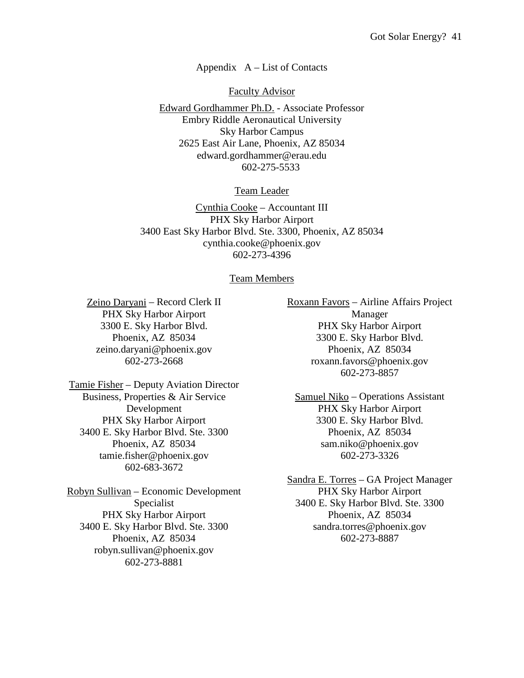## Appendix  $A - List$  of Contacts

Faculty Advisor

Edward Gordhammer Ph.D. - Associate Professor Embry Riddle Aeronautical University Sky Harbor Campus 2625 East Air Lane, Phoenix, AZ 85034 edward.gordhammer@erau.edu 602-275-5533

Team Leader

Cynthia Cooke – Accountant III PHX Sky Harbor Airport 3400 East Sky Harbor Blvd. Ste. 3300, Phoenix, AZ 85034 cynthia.cooke@phoenix.gov 602-273-4396

## Team Members

Zeino Daryani – Record Clerk II PHX Sky Harbor Airport 3300 E. Sky Harbor Blvd. Phoenix, AZ 85034 zeino.daryani@phoenix.gov 602-273-2668

Tamie Fisher – Deputy Aviation Director Business, Properties & Air Service Development PHX Sky Harbor Airport 3400 E. Sky Harbor Blvd. Ste. 3300 Phoenix, AZ 85034 tamie.fisher@phoenix.gov 602-683-3672

Robyn Sullivan – Economic Development Specialist PHX Sky Harbor Airport 3400 E. Sky Harbor Blvd. Ste. 3300 Phoenix, AZ 85034 robyn.sullivan@phoenix.gov 602-273-8881

Roxann Favors – Airline Affairs Project Manager PHX Sky Harbor Airport 3300 E. Sky Harbor Blvd. Phoenix, AZ 85034 roxann.favors@phoenix.gov 602-273-8857

Samuel Niko – Operations Assistant PHX Sky Harbor Airport 3300 E. Sky Harbor Blvd. Phoenix, AZ 85034 sam.niko@phoenix.gov 602-273-3326

Sandra E. Torres – GA Project Manager PHX Sky Harbor Airport 3400 E. Sky Harbor Blvd. Ste. 3300 Phoenix, AZ 85034 sandra.torres@phoenix.gov 602-273-8887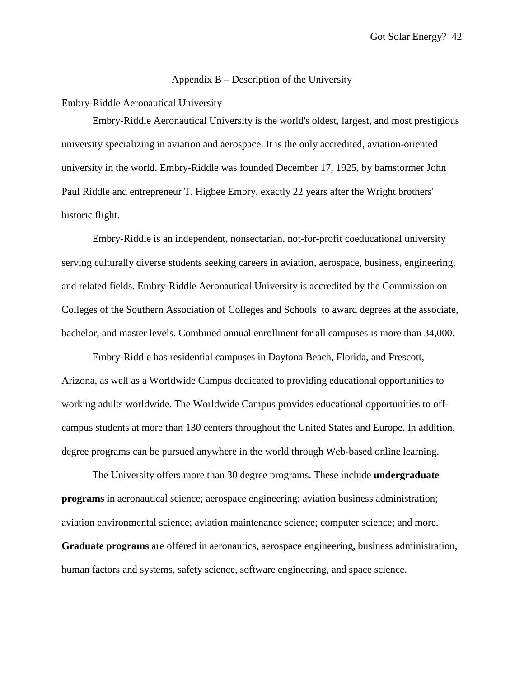### Appendix B – Description of the University

Embry-Riddle Aeronautical University

Embry-Riddle Aeronautical University is the world's oldest, largest, and most prestigious university specializing in aviation and aerospace. It is the only accredited, aviation-oriented university in the world. Embry-Riddle was founded December 17, 1925, by barnstormer John Paul Riddle and entrepreneur T. Higbee Embry, exactly 22 years after the Wright brothers' historic flight.

Embry-Riddle is an independent, nonsectarian, not-for-profit coeducational university serving culturally diverse students seeking careers in aviation, aerospace, business, engineering, and related fields. Embry-Riddle Aeronautical University is accredited by the Commission on Colleges of the Southern Association of Colleges and Schools to award degrees at the associate, bachelor, and master levels. Combined annual enrollment for all campuses is more than 34,000.

Embry-Riddle has residential campuses in Daytona Beach, Florida, and Prescott, Arizona, as well as a Worldwide Campus dedicated to providing educational opportunities to working adults worldwide. The Worldwide Campus provides educational opportunities to offcampus students at more than 130 centers throughout the United States and Europe. In addition, degree programs can be pursued anywhere in the world through Web-based online learning.

The University offers more than 30 degree programs. These include **undergraduate programs** in aeronautical science; aerospace engineering; aviation business administration; aviation environmental science; aviation maintenance science; computer science; and more. **Graduate programs** are offered in aeronautics, aerospace engineering, business administration, human factors and systems, safety science, software engineering, and space science.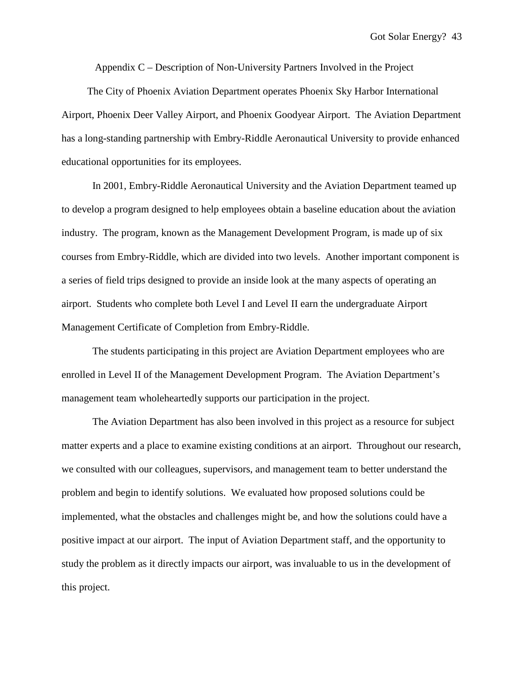Appendix C – Description of Non-University Partners Involved in the Project

 The City of Phoenix Aviation Department operates Phoenix Sky Harbor International Airport, Phoenix Deer Valley Airport, and Phoenix Goodyear Airport. The Aviation Department has a long-standing partnership with Embry-Riddle Aeronautical University to provide enhanced educational opportunities for its employees.

In 2001, Embry-Riddle Aeronautical University and the Aviation Department teamed up to develop a program designed to help employees obtain a baseline education about the aviation industry. The program, known as the Management Development Program, is made up of six courses from Embry-Riddle, which are divided into two levels. Another important component is a series of field trips designed to provide an inside look at the many aspects of operating an airport. Students who complete both Level I and Level II earn the undergraduate Airport Management Certificate of Completion from Embry-Riddle.

The students participating in this project are Aviation Department employees who are enrolled in Level II of the Management Development Program. The Aviation Department's management team wholeheartedly supports our participation in the project.

The Aviation Department has also been involved in this project as a resource for subject matter experts and a place to examine existing conditions at an airport. Throughout our research, we consulted with our colleagues, supervisors, and management team to better understand the problem and begin to identify solutions. We evaluated how proposed solutions could be implemented, what the obstacles and challenges might be, and how the solutions could have a positive impact at our airport. The input of Aviation Department staff, and the opportunity to study the problem as it directly impacts our airport, was invaluable to us in the development of this project.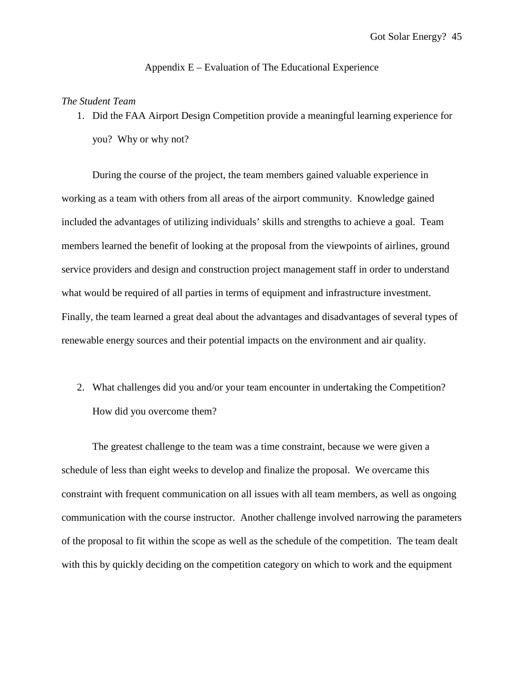## Appendix E – Evaluation of The Educational Experience

## *The Student Team*

1. Did the FAA Airport Design Competition provide a meaningful learning experience for you? Why or why not?

 During the course of the project, the team members gained valuable experience in working as a team with others from all areas of the airport community. Knowledge gained included the advantages of utilizing individuals' skills and strengths to achieve a goal. Team members learned the benefit of looking at the proposal from the viewpoints of airlines, ground service providers and design and construction project management staff in order to understand what would be required of all parties in terms of equipment and infrastructure investment. Finally, the team learned a great deal about the advantages and disadvantages of several types of renewable energy sources and their potential impacts on the environment and air quality.

2. What challenges did you and/or your team encounter in undertaking the Competition? How did you overcome them?

 The greatest challenge to the team was a time constraint, because we were given a schedule of less than eight weeks to develop and finalize the proposal. We overcame this constraint with frequent communication on all issues with all team members, as well as ongoing communication with the course instructor. Another challenge involved narrowing the parameters of the proposal to fit within the scope as well as the schedule of the competition. The team dealt with this by quickly deciding on the competition category on which to work and the equipment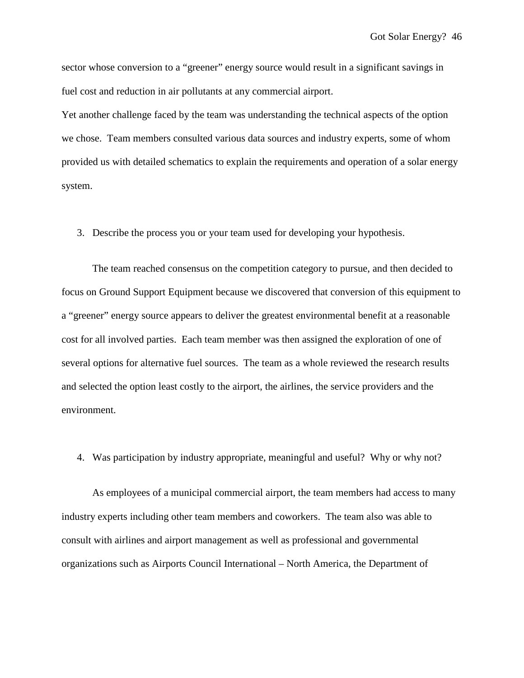sector whose conversion to a "greener" energy source would result in a significant savings in fuel cost and reduction in air pollutants at any commercial airport.

Yet another challenge faced by the team was understanding the technical aspects of the option we chose. Team members consulted various data sources and industry experts, some of whom provided us with detailed schematics to explain the requirements and operation of a solar energy system.

3. Describe the process you or your team used for developing your hypothesis.

 The team reached consensus on the competition category to pursue, and then decided to focus on Ground Support Equipment because we discovered that conversion of this equipment to a "greener" energy source appears to deliver the greatest environmental benefit at a reasonable cost for all involved parties. Each team member was then assigned the exploration of one of several options for alternative fuel sources. The team as a whole reviewed the research results and selected the option least costly to the airport, the airlines, the service providers and the environment.

4. Was participation by industry appropriate, meaningful and useful? Why or why not?

 As employees of a municipal commercial airport, the team members had access to many industry experts including other team members and coworkers. The team also was able to consult with airlines and airport management as well as professional and governmental organizations such as Airports Council International – North America, the Department of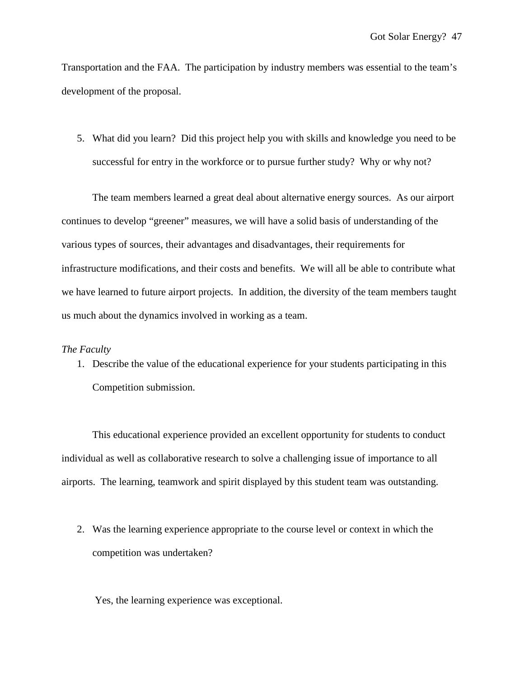Transportation and the FAA. The participation by industry members was essential to the team's development of the proposal.

5. What did you learn? Did this project help you with skills and knowledge you need to be successful for entry in the workforce or to pursue further study? Why or why not?

 The team members learned a great deal about alternative energy sources. As our airport continues to develop "greener" measures, we will have a solid basis of understanding of the various types of sources, their advantages and disadvantages, their requirements for infrastructure modifications, and their costs and benefits. We will all be able to contribute what we have learned to future airport projects. In addition, the diversity of the team members taught us much about the dynamics involved in working as a team.

## *The Faculty*

1. Describe the value of the educational experience for your students participating in this Competition submission.

 This educational experience provided an excellent opportunity for students to conduct individual as well as collaborative research to solve a challenging issue of importance to all airports. The learning, teamwork and spirit displayed by this student team was outstanding.

2. Was the learning experience appropriate to the course level or context in which the competition was undertaken?

Yes, the learning experience was exceptional.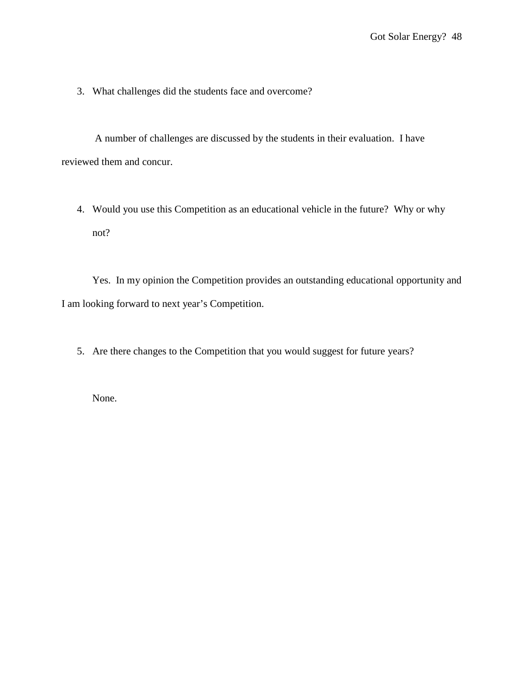3. What challenges did the students face and overcome?

A number of challenges are discussed by the students in their evaluation. I have reviewed them and concur.

4. Would you use this Competition as an educational vehicle in the future? Why or why not?

 Yes. In my opinion the Competition provides an outstanding educational opportunity and I am looking forward to next year's Competition.

5. Are there changes to the Competition that you would suggest for future years?

None.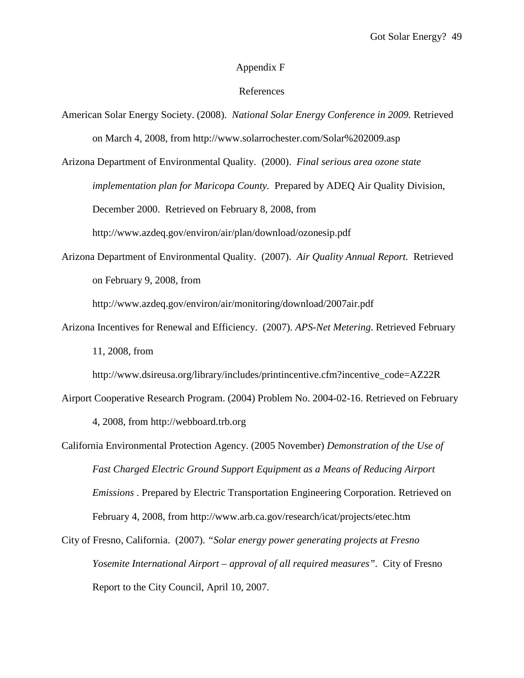## Appendix F

## References

American Solar Energy Society. (2008). *National Solar Energy Conference in 2009.* Retrieved on March 4, 2008, from http://www.solarrochester.com/Solar%202009.asp

Arizona Department of Environmental Quality. (2000). *Final serious area ozone state implementation plan for Maricopa County.* Prepared by ADEQ Air Quality Division, December 2000. Retrieved on February 8, 2008, from http://www.azdeq.gov/environ/air/plan/download/ozonesip.pdf

Arizona Department of Environmental Quality. (2007). *Air Quality Annual Report.* Retrieved on February 9, 2008, from

http://www.azdeq.gov/environ/air/monitoring/download/2007air.pdf

Arizona Incentives for Renewal and Efficiency. (2007). *APS-Net Metering*. Retrieved February 11, 2008, from

http://www.dsireusa.org/library/includes/printincentive.cfm?incentive\_code=AZ22R

- Airport Cooperative Research Program. (2004) Problem No. 2004-02-16. Retrieved on February 4, 2008, from http://webboard.trb.org
- California Environmental Protection Agency. (2005 November) *Demonstration of the Use of Fast Charged Electric Ground Support Equipment as a Means of Reducing Airport Emissions* . Prepared by Electric Transportation Engineering Corporation. Retrieved on February 4, 2008, from http://www.arb.ca.gov/research/icat/projects/etec.htm
- City of Fresno, California. (2007). *"Solar energy power generating projects at Fresno Yosemite International Airport – approval of all required measures".* City of Fresno Report to the City Council, April 10, 2007.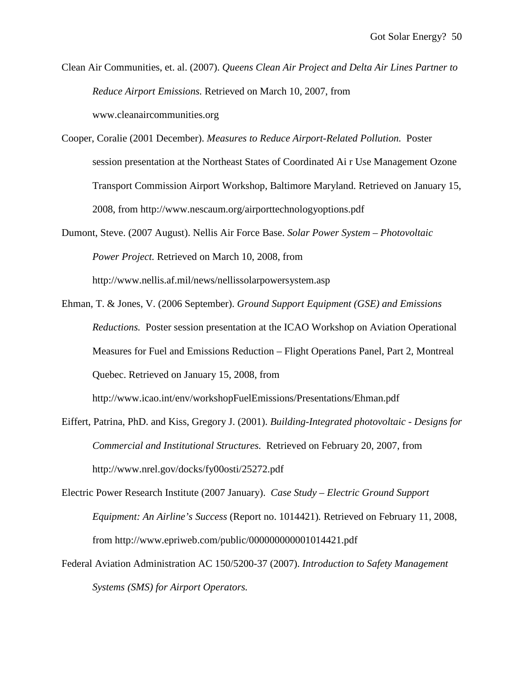Clean Air Communities, et. al. (2007). *Queens Clean Air Project and Delta Air Lines Partner to Reduce Airport Emissions.* Retrieved on March 10, 2007, from www.cleanaircommunities.org

Cooper, Coralie (2001 December). *Measures to Reduce Airport-Related Pollution.* Poster session presentation at the Northeast States of Coordinated Ai r Use Management Ozone Transport Commission Airport Workshop, Baltimore Maryland. Retrieved on January 15, 2008, from http://www.nescaum.org/airporttechnologyoptions.pdf

Dumont, Steve. (2007 August). Nellis Air Force Base. *Solar Power System – Photovoltaic Power Project.* Retrieved on March 10, 2008, from http://www.nellis.af.mil/news/nellissolarpowersystem.asp

Ehman, T. & Jones, V. (2006 September). *Ground Support Equipment (GSE) and Emissions Reductions.* Poster session presentation at the ICAO Workshop on Aviation Operational Measures for Fuel and Emissions Reduction – Flight Operations Panel, Part 2, Montreal Quebec. Retrieved on January 15, 2008, from http://www.icao.int/env/workshopFuelEmissions/Presentations/Ehman.pdf

Eiffert, Patrina, PhD. and Kiss, Gregory J. (2001). *Building-Integrated photovoltaic - Designs for Commercial and Institutional Structures.* Retrieved on February 20, 2007, from http://www.nrel.gov/docks/fy00osti/25272.pdf

- Electric Power Research Institute (2007 January). *Case Study Electric Ground Support Equipment: An Airline's Success* (Report no. 1014421)*.* Retrieved on February 11, 2008, from http://www.epriweb.com/public/000000000001014421.pdf
- Federal Aviation Administration AC 150/5200-37 (2007). *Introduction to Safety Management Systems (SMS) for Airport Operators.*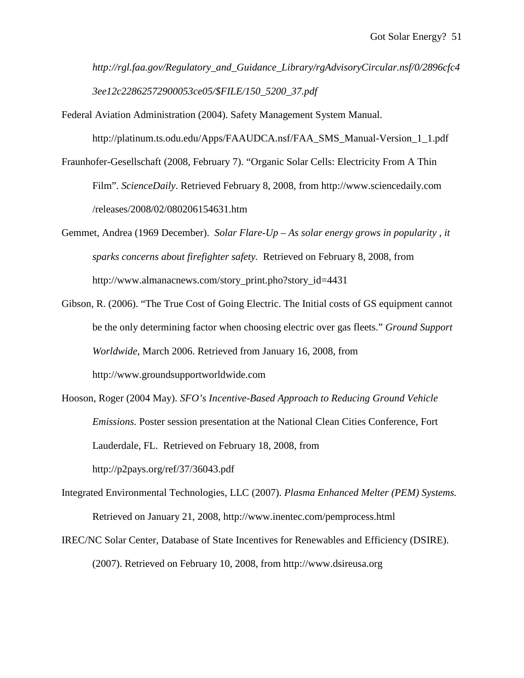*http://rgl.faa.gov/Regulatory\_and\_Guidance\_Library/rgAdvisoryCircular.nsf/0/2896cfc4 3ee12c22862572900053ce05/\$FILE/150\_5200\_37.pdf* 

Federal Aviation Administration (2004). Safety Management System Manual.

http://platinum.ts.odu.edu/Apps/FAAUDCA.nsf/FAA\_SMS\_Manual-Version\_1\_1.pdf

- Fraunhofer-Gesellschaft (2008, February 7). "Organic Solar Cells: Electricity From A Thin Film". *ScienceDaily*. Retrieved February 8, 2008, from http://www.sciencedaily.com /releases/2008/02/080206154631.htm
- Gemmet, Andrea (1969 December). *Solar Flare-Up As solar energy grows in popularity , it sparks concerns about firefighter safety.* Retrieved on February 8, 2008, from http://www.almanacnews.com/story\_print.pho?story\_id=4431
- Gibson, R. (2006). "The True Cost of Going Electric. The Initial costs of GS equipment cannot be the only determining factor when choosing electric over gas fleets." *Ground Support Worldwide*, March 2006. Retrieved from January 16, 2008, from http://www.groundsupportworldwide.com
- Hooson, Roger (2004 May). *SFO's Incentive-Based Approach to Reducing Ground Vehicle Emissions.* Poster session presentation at the National Clean Cities Conference, Fort Lauderdale, FL. Retrieved on February 18, 2008, from http://p2pays.org/ref/37/36043.pdf
- Integrated Environmental Technologies, LLC (2007). *Plasma Enhanced Melter (PEM) Systems.* Retrieved on January 21, 2008, http://www.inentec.com/pemprocess.html
- IREC/NC Solar Center, Database of State Incentives for Renewables and Efficiency (DSIRE). (2007). Retrieved on February 10, 2008, from http://www.dsireusa.org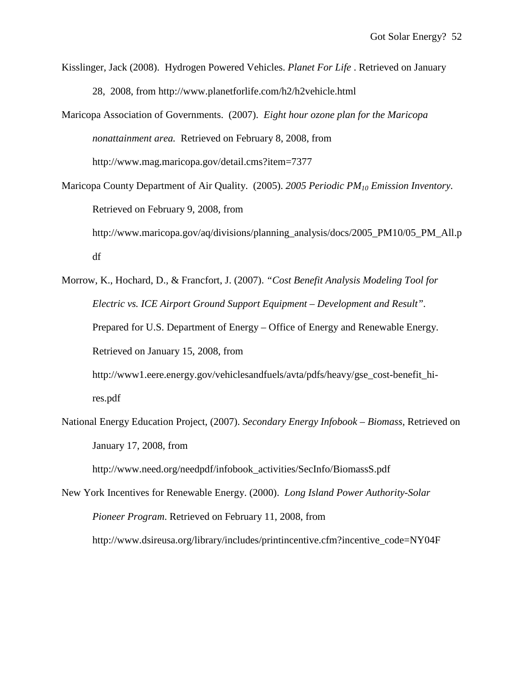- Kisslinger, Jack (2008). Hydrogen Powered Vehicles. *Planet For Life* . Retrieved on January 28, 2008, from http://www.planetforlife.com/h2/h2vehicle.html
- Maricopa Association of Governments. (2007). *Eight hour ozone plan for the Maricopa nonattainment area.* Retrieved on February 8, 2008, from http://www.mag.maricopa.gov/detail.cms?item=7377
- Maricopa County Department of Air Quality. (2005). *2005 Periodic PM10 Emission Inventory*. Retrieved on February 9, 2008, from http://www.maricopa.gov/aq/divisions/planning\_analysis/docs/2005\_PM10/05\_PM\_All.p df
- Morrow, K., Hochard, D., & Francfort, J. (2007). *"Cost Benefit Analysis Modeling Tool for Electric vs. ICE Airport Ground Support Equipment – Development and Result".*  Prepared for U.S. Department of Energy – Office of Energy and Renewable Energy. Retrieved on January 15, 2008, from
	- http://www1.eere.energy.gov/vehiclesandfuels/avta/pdfs/heavy/gse\_cost-benefit\_hires.pdf
- National Energy Education Project, (2007). *Secondary Energy Infobook Biomass,* Retrieved on January 17, 2008, from

http://www.need.org/needpdf/infobook\_activities/SecInfo/BiomassS.pdf

New York Incentives for Renewable Energy. (2000). *Long Island Power Authority-Solar Pioneer Program*. Retrieved on February 11, 2008, from http://www.dsireusa.org/library/includes/printincentive.cfm?incentive\_code=NY04F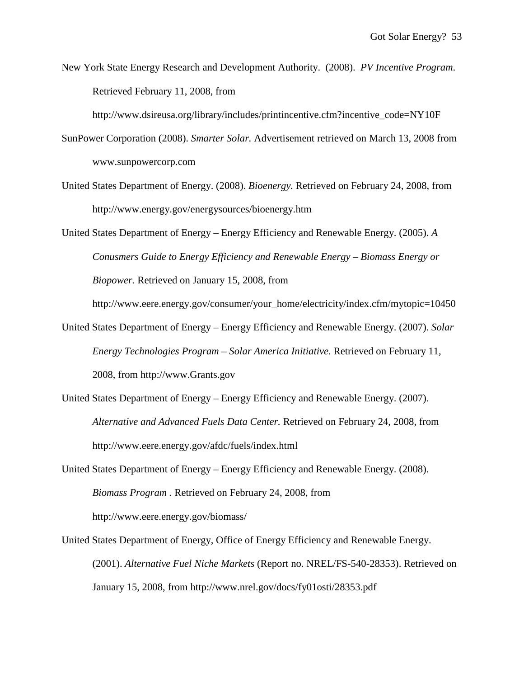New York State Energy Research and Development Authority. (2008). *PV Incentive Program*. Retrieved February 11, 2008, from

http://www.dsireusa.org/library/includes/printincentive.cfm?incentive\_code=NY10F

- SunPower Corporation (2008). *Smarter Solar.* Advertisement retrieved on March 13, 2008 from www.sunpowercorp.com
- United States Department of Energy. (2008). *Bioenergy.* Retrieved on February 24, 2008, from http://www.energy.gov/energysources/bioenergy.htm

United States Department of Energy – Energy Efficiency and Renewable Energy. (2005). *A Conusmers Guide to Energy Efficiency and Renewable Energy – Biomass Energy or Biopower.* Retrieved on January 15, 2008, from

http://www.eere.energy.gov/consumer/your\_home/electricity/index.cfm/mytopic=10450

- United States Department of Energy Energy Efficiency and Renewable Energy. (2007). *Solar Energy Technologies Program – Solar America Initiative.* Retrieved on February 11, 2008, from http://www.Grants.gov
- United States Department of Energy Energy Efficiency and Renewable Energy. (2007). *Alternative and Advanced Fuels Data Center.* Retrieved on February 24, 2008, from http://www.eere.energy.gov/afdc/fuels/index.html
- United States Department of Energy Energy Efficiency and Renewable Energy. (2008). *Biomass Program .* Retrieved on February 24, 2008, from http://www.eere.energy.gov/biomass/
- United States Department of Energy, Office of Energy Efficiency and Renewable Energy. (2001). *Alternative Fuel Niche Markets* (Report no. NREL/FS-540-28353). Retrieved on January 15, 2008, from http://www.nrel.gov/docs/fy01osti/28353.pdf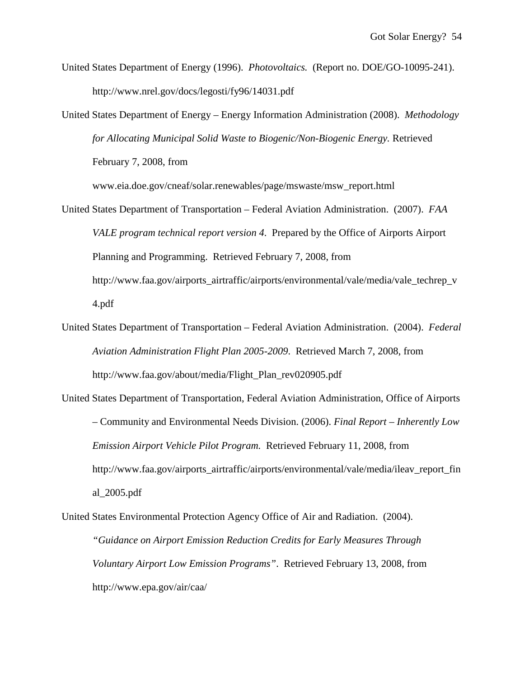- United States Department of Energy (1996). *Photovoltaics.* (Report no. DOE/GO-10095-241). http://www.nrel.gov/docs/legosti/fy96/14031.pdf
- United States Department of Energy Energy Information Administration (2008). *Methodology for Allocating Municipal Solid Waste to Biogenic/Non-Biogenic Energy.* Retrieved February 7, 2008, from

www.eia.doe.gov/cneaf/solar.renewables/page/mswaste/msw\_report.html

- United States Department of Transportation Federal Aviation Administration. (2007). *FAA VALE program technical report version 4*. Prepared by the Office of Airports Airport Planning and Programming. Retrieved February 7, 2008, from http://www.faa.gov/airports\_airtraffic/airports/environmental/vale/media/vale\_techrep\_v 4.pdf
- United States Department of Transportation Federal Aviation Administration. (2004). *Federal Aviation Administration Flight Plan 2005-2009*. Retrieved March 7, 2008, from http://www.faa.gov/about/media/Flight\_Plan\_rev020905.pdf
- United States Department of Transportation, Federal Aviation Administration, Office of Airports – Community and Environmental Needs Division. (2006). *Final Report – Inherently Low Emission Airport Vehicle Pilot Program.* Retrieved February 11, 2008, from http://www.faa.gov/airports\_airtraffic/airports/environmental/vale/media/ileav\_report\_fin al\_2005.pdf
- United States Environmental Protection Agency Office of Air and Radiation. (2004). *"Guidance on Airport Emission Reduction Credits for Early Measures Through Voluntary Airport Low Emission Programs"*. Retrieved February 13, 2008, from http://www.epa.gov/air/caa/